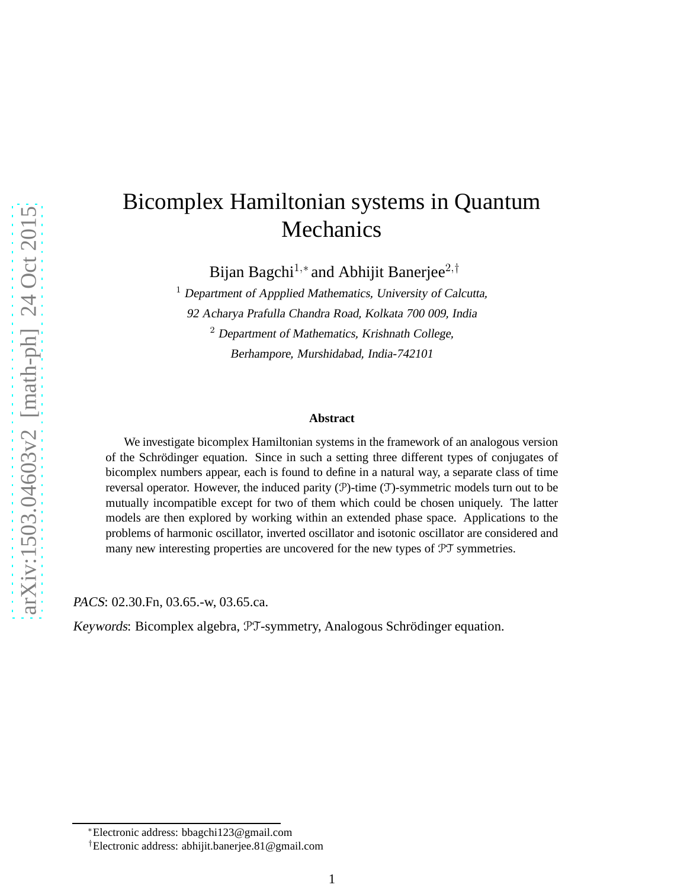# Bicomplex Hamiltonian systems in Quantum Mechanics

Bijan Bagchi<sup>1,∗</sup> and Abhijit Banerjee<sup>2,†</sup>

 $1$  Department of Appplied Mathematics, University of Calcutta, <sup>92</sup> Acharya Prafulla Chandra Road, Kolkata <sup>700</sup> 009, India <sup>2</sup> Department of Mathematics, Krishnath College, Berhampore, Murshidabad, India-742101

#### **Abstract**

We investigate bicomplex Hamiltonian systems in the framework of an analogous version of the Schrödinger equation. Since in such a setting three different types of conjugates of bicomplex numbers appear, each is found to define in a natural way, a separate class of time reversal operator. However, the induced parity  $(\mathcal{P})$ -time  $(\mathcal{T})$ -symmetric models turn out to be mutually incompatible except for two of them which could be chosen uniquely. The latter models are then explored by working within an extended phase space. Applications to the problems of harmonic oscillator, inverted oscillator and isotonic oscillator are considered and many new interesting properties are uncovered for the new types of PT symmetries.

PACS: 02.30.Fn, 03.65.-w, 03.65.ca.

Keywords: Bicomplex algebra, PT-symmetry, Analogous Schrödinger equation.

<sup>∗</sup>Electronic address: bbagchi123@gmail.com

<sup>†</sup>Electronic address: abhijit.banerjee.81@gmail.com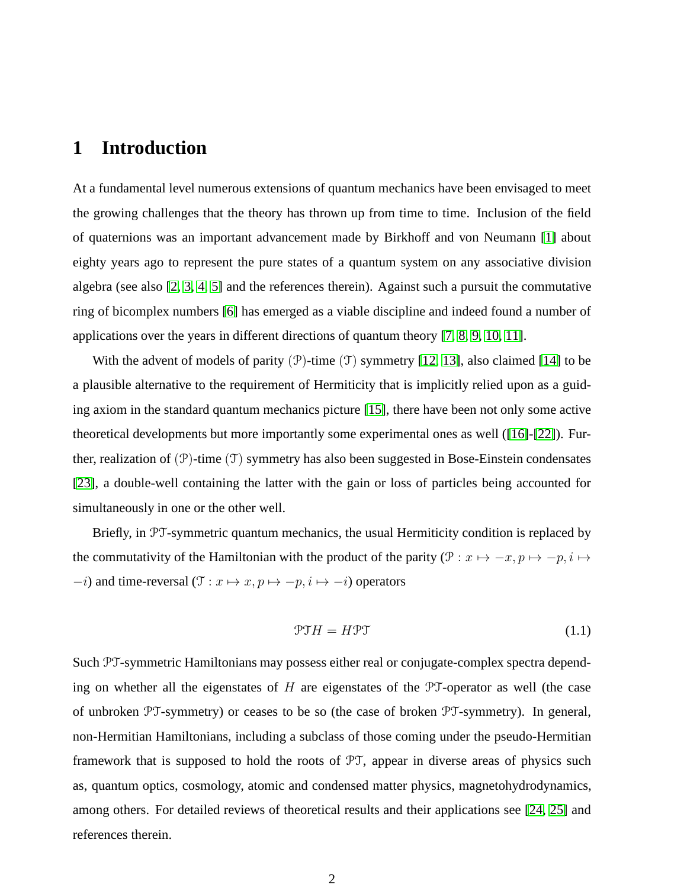## **1 Introduction**

At a fundamental level numerous extensions of quantum mechanics have been envisaged to meet the growing challenges that the theory has thrown up from time to time. Inclusion of the field of quaternions was an important advancement made by Birkhoff and von Neumann [\[1\]](#page-30-0) about eighty years ago to represent the pure states of a quantum system on any associative division algebra (see also [\[2,](#page-30-1) [3,](#page-30-2) [4,](#page-30-3) [5\]](#page-31-0) and the references therein). Against such a pursuit the commutative ring of bicomplex numbers [\[6\]](#page-31-1) has emerged as a viable discipline and indeed found a number of applications over the years in different directions of quantum theory [\[7,](#page-31-2) [8,](#page-31-3) [9,](#page-31-4) [10,](#page-31-5) [11\]](#page-31-6).

With the advent of models of parity  $(\mathcal{P})$ -time  $(\mathcal{T})$  symmetry [\[12,](#page-31-7) [13\]](#page-31-8), also claimed [\[14\]](#page-31-9) to be a plausible alternative to the requirement of Hermiticity that is implicitly relied upon as a guiding axiom in the standard quantum mechanics picture [\[15\]](#page-31-10), there have been not only some active theoretical developments but more importantly some experimental ones as well ([\[16\]](#page-31-11)-[\[22\]](#page-32-0)). Further, realization of  $(\mathcal{P})$ -time  $(\mathcal{T})$  symmetry has also been suggested in Bose-Einstein condensates [\[23\]](#page-32-1), a double-well containing the latter with the gain or loss of particles being accounted for simultaneously in one or the other well.

Briefly, in PT-symmetric quantum mechanics, the usual Hermiticity condition is replaced by the commutativity of the Hamiltonian with the product of the parity ( $\mathcal{P}: x \mapsto -x, p \mapsto -p, i \mapsto$  $-i$ ) and time-reversal ( $\mathcal{T}: x \mapsto x, p \mapsto -p, i \mapsto -i$ ) operators

$$
\mathcal{PT}H = H\mathcal{PT} \tag{1.1}
$$

Such PT-symmetric Hamiltonians may possess either real or conjugate-complex spectra depending on whether all the eigenstates of  $H$  are eigenstates of the  $PT$ -operator as well (the case of unbroken PT-symmetry) or ceases to be so (the case of broken PT-symmetry). In general, non-Hermitian Hamiltonians, including a subclass of those coming under the pseudo-Hermitian framework that is supposed to hold the roots of PT, appear in diverse areas of physics such as, quantum optics, cosmology, atomic and condensed matter physics, magnetohydrodynamics, among others. For detailed reviews of theoretical results and their applications see [\[24,](#page-32-2) [25\]](#page-32-3) and references therein.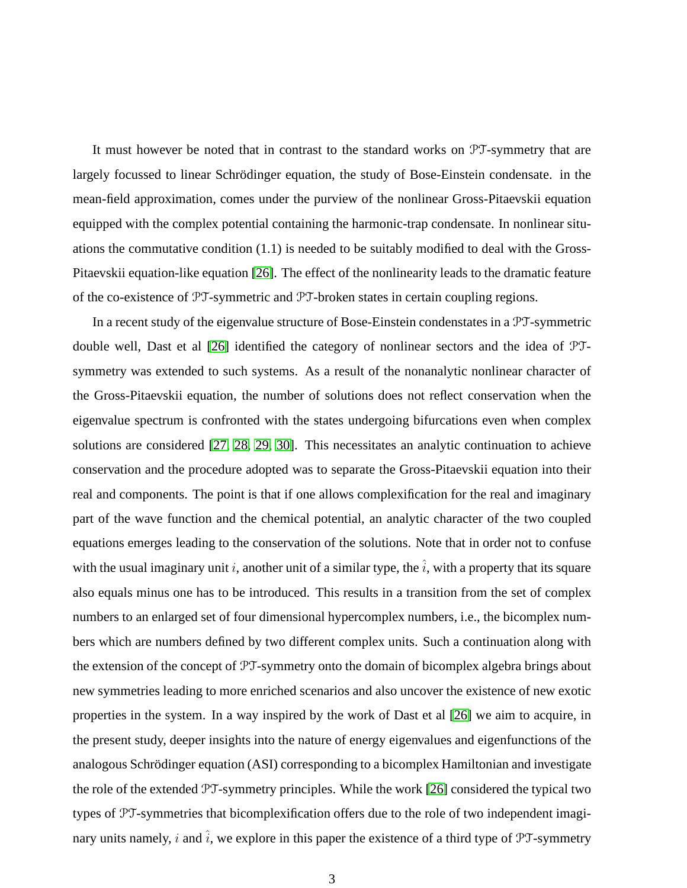It must however be noted that in contrast to the standard works on PT-symmetry that are largely focussed to linear Schrödinger equation, the study of Bose-Einstein condensate. in the mean-field approximation, comes under the purview of the nonlinear Gross-Pitaevskii equation equipped with the complex potential containing the harmonic-trap condensate. In nonlinear situations the commutative condition (1.1) is needed to be suitably modified to deal with the Gross-Pitaevskii equation-like equation [\[26\]](#page-32-4). The effect of the nonlinearity leads to the dramatic feature of the co-existence of PT-symmetric and PT-broken states in certain coupling regions.

In a recent study of the eigenvalue structure of Bose-Einstein condenstates in a PT-symmetric double well, Dast et al [\[26\]](#page-32-4) identified the category of nonlinear sectors and the idea of PTsymmetry was extended to such systems. As a result of the nonanalytic nonlinear character of the Gross-Pitaevskii equation, the number of solutions does not reflect conservation when the eigenvalue spectrum is confronted with the states undergoing bifurcations even when complex solutions are considered [\[27,](#page-32-5) [28,](#page-32-6) [29,](#page-32-7) [30\]](#page-32-8). This necessitates an analytic continuation to achieve conservation and the procedure adopted was to separate the Gross-Pitaevskii equation into their real and components. The point is that if one allows complexification for the real and imaginary part of the wave function and the chemical potential, an analytic character of the two coupled equations emerges leading to the conservation of the solutions. Note that in order not to confuse with the usual imaginary unit i, another unit of a similar type, the  $\hat{i}$ , with a property that its square also equals minus one has to be introduced. This results in a transition from the set of complex numbers to an enlarged set of four dimensional hypercomplex numbers, i.e., the bicomplex numbers which are numbers defined by two different complex units. Such a continuation along with the extension of the concept of PT-symmetry onto the domain of bicomplex algebra brings about new symmetries leading to more enriched scenarios and also uncover the existence of new exotic properties in the system. In a way inspired by the work of Dast et al [\[26\]](#page-32-4) we aim to acquire, in the present study, deeper insights into the nature of energy eigenvalues and eigenfunctions of the analogous Schrödinger equation (ASI) corresponding to a bicomplex Hamiltonian and investigate the role of the extended PT-symmetry principles. While the work [\[26\]](#page-32-4) considered the typical two types of PT-symmetries that bicomplexification offers due to the role of two independent imaginary units namely, i and  $\hat{i}$ , we explore in this paper the existence of a third type of PT-symmetry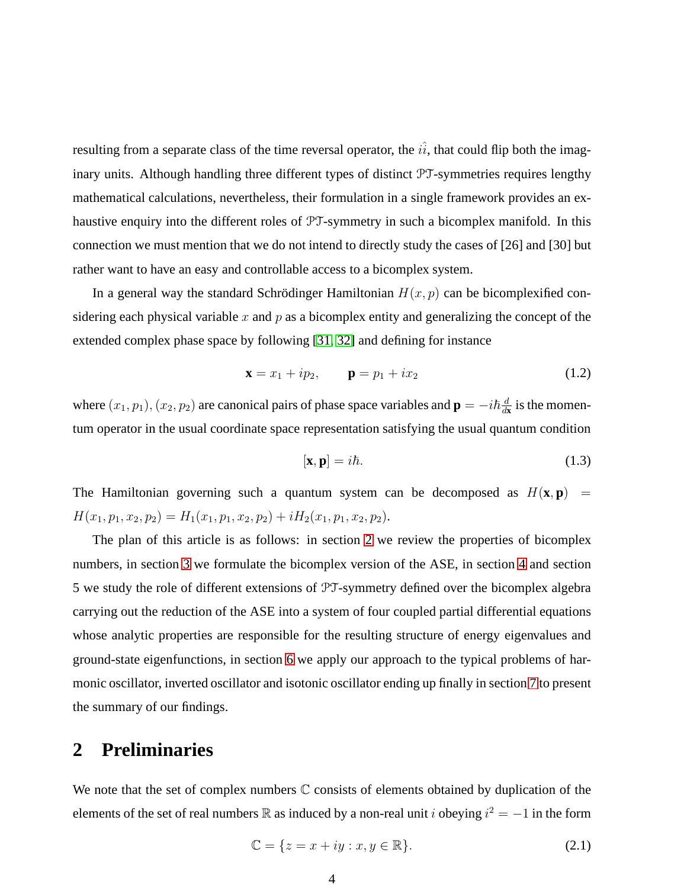resulting from a separate class of the time reversal operator, the  $i\hat{i}$ , that could flip both the imaginary units. Although handling three different types of distinct PT-symmetries requires lengthy mathematical calculations, nevertheless, their formulation in a single framework provides an exhaustive enquiry into the different roles of PT-symmetry in such a bicomplex manifold. In this connection we must mention that we do not intend to directly study the cases of [26] and [30] but rather want to have an easy and controllable access to a bicomplex system.

In a general way the standard Schrödinger Hamiltonian  $H(x, p)$  can be bicomplexified considering each physical variable x and  $p$  as a bicomplex entity and generalizing the concept of the extended complex phase space by following [\[31,](#page-32-9) [32\]](#page-32-10) and defining for instance

<span id="page-3-2"></span>
$$
\mathbf{x} = x_1 + ip_2, \qquad \mathbf{p} = p_1 + ix_2 \tag{1.2}
$$

where  $(x_1, p_1), (x_2, p_2)$  are canonical pairs of phase space variables and  $\mathbf{p} = -i\hbar \frac{d}{dt}$  $\frac{d}{dx}$  is the momentum operator in the usual coordinate space representation satisfying the usual quantum condition

$$
[\mathbf{x}, \mathbf{p}] = i\hbar. \tag{1.3}
$$

The Hamiltonian governing such a quantum system can be decomposed as  $H(\mathbf{x}, \mathbf{p})$  =  $H(x_1, p_1, x_2, p_2) = H_1(x_1, p_1, x_2, p_2) + iH_2(x_1, p_1, x_2, p_2).$ 

The plan of this article is as follows: in section [2](#page-3-0) we review the properties of bicomplex numbers, in section [3](#page-6-0) we formulate the bicomplex version of the ASE, in section [4](#page-8-0) and section 5 we study the role of different extensions of PT-symmetry defined over the bicomplex algebra carrying out the reduction of the ASE into a system of four coupled partial differential equations whose analytic properties are responsible for the resulting structure of energy eigenvalues and ground-state eigenfunctions, in section [6](#page-16-0) we apply our approach to the typical problems of harmonic oscillator, inverted oscillator and isotonic oscillator ending up finally in section [7](#page-30-4) to present the summary of our findings.

## <span id="page-3-0"></span>**2 Preliminaries**

We note that the set of complex numbers  $\mathbb C$  consists of elements obtained by duplication of the elements of the set of real numbers  $\mathbb R$  as induced by a non-real unit i obeying  $i^2 = -1$  in the form

<span id="page-3-1"></span>
$$
\mathbb{C} = \{ z = x + iy : x, y \in \mathbb{R} \}. \tag{2.1}
$$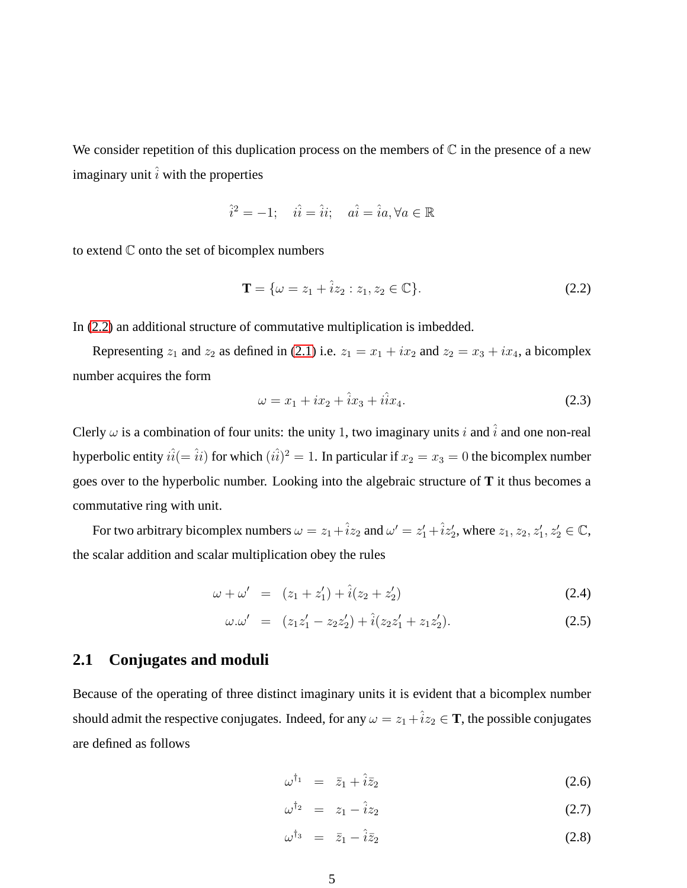We consider repetition of this duplication process on the members of  $\mathbb C$  in the presence of a new imaginary unit  $\hat{i}$  with the properties

$$
\hat{i}^2 = -1; \quad \hat{i} \hat{i} = \hat{i} \hat{i}; \quad a \hat{i} = \hat{i}a, \forall a \in \mathbb{R}
$$

to extend  $\mathbb C$  onto the set of bicomplex numbers

<span id="page-4-0"></span>
$$
\mathbf{T} = \{ \omega = z_1 + \hat{i} z_2 : z_1, z_2 \in \mathbb{C} \}. \tag{2.2}
$$

In [\(2.2\)](#page-4-0) an additional structure of commutative multiplication is imbedded.

Representing  $z_1$  and  $z_2$  as defined in [\(2.1\)](#page-3-1) i.e.  $z_1 = x_1 + ix_2$  and  $z_2 = x_3 + ix_4$ , a bicomplex number acquires the form

$$
\omega = x_1 + ix_2 + \hat{i}x_3 + i\hat{i}x_4.
$$
 (2.3)

Clerly  $\omega$  is a combination of four units: the unity 1, two imaginary units i and  $\hat{i}$  and one non-real hyperbolic entity  $\hat{i(} = \hat{i} i)$  for which  $(\hat{i\hat{i}})^2 = 1.$  In particular if  $x_2 = x_3 = 0$  the bicomplex number goes over to the hyperbolic number. Looking into the algebraic structure of **T** it thus becomes a commutative ring with unit.

For two arbitrary bicomplex numbers  $\omega = z_1 + \hat{i}z_2$  and  $\omega' = z'_1 + \hat{i}z'_2$ , where  $z_1, z_2, z'_1, z'_2 \in \mathbb{C}$ , the scalar addition and scalar multiplication obey the rules

$$
\omega + \omega' = (z_1 + z_1') + \hat{i}(z_2 + z_2')
$$
 (2.4)

$$
\omega.\omega' = (z_1 z_1' - z_2 z_2') + \hat{i}(z_2 z_1' + z_1 z_2'). \tag{2.5}
$$

#### **2.1 Conjugates and moduli**

Because of the operating of three distinct imaginary units it is evident that a bicomplex number should admit the respective conjugates. Indeed, for any  $\omega = z_1 + \hat{i}z_2 \in \mathbf{T}$ , the possible conjugates are defined as follows

<span id="page-4-1"></span>
$$
\omega^{\dagger_1} = \bar{z}_1 + \hat{i}\bar{z}_2 \tag{2.6}
$$

$$
\omega^{\dagger_2} = z_1 - \hat{i} z_2 \tag{2.7}
$$

$$
\omega^{\dagger_3} = \bar{z}_1 - \hat{i}\bar{z}_2 \tag{2.8}
$$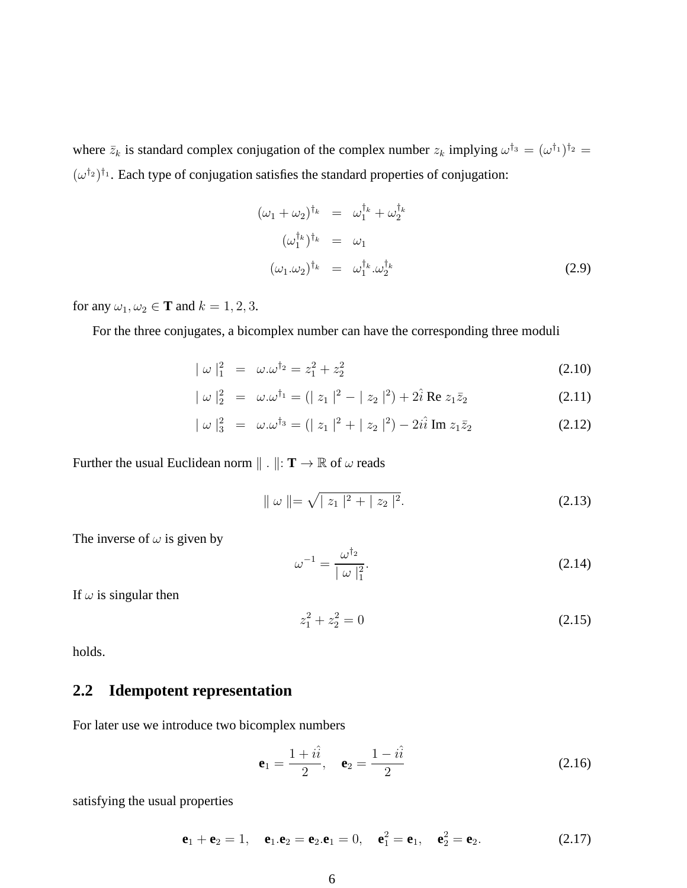where  $\bar{z}_k$  is standard complex conjugation of the complex number  $z_k$  implying  $\omega^{\dagger_3} = (\omega^{\dagger_1})^{\dagger_2} =$  $(\omega^{\dagger_2})^{\dagger_1}$ . Each type of conjugation satisfies the standard properties of conjugation:

$$
(\omega_1 + \omega_2)^{\dagger_k} = \omega_1^{\dagger_k} + \omega_2^{\dagger_k}
$$
  
\n
$$
(\omega_1^{\dagger_k})^{\dagger_k} = \omega_1
$$
  
\n
$$
(\omega_1 \cdot \omega_2)^{\dagger_k} = \omega_1^{\dagger_k} \cdot \omega_2^{\dagger_k}
$$
 (2.9)

for any  $\omega_1, \omega_2 \in \mathbf{T}$  and  $k = 1, 2, 3$ .

For the three conjugates, a bicomplex number can have the corresponding three moduli

$$
|\omega|_1^2 = \omega \cdot \omega^{\dagger_2} = z_1^2 + z_2^2 \tag{2.10}
$$

$$
|\omega|_2^2 = \omega \cdot \omega^{\dagger_1} = (|z_1|^2 - |z_2|^2) + 2\hat{i} \operatorname{Re} z_1 \bar{z}_2
$$
 (2.11)

$$
|\,\omega\,|_3^2 = \omega.\omega^{\dagger_3} = (|\,z_1\,|^2 + |\,z_2\,|^2) - 2i\hat{i} \operatorname{Im} z_1 \bar{z}_2 \tag{2.12}
$$

Further the usual Euclidean norm  $\| \cdot \|$ : **T**  $\rightarrow \mathbb{R}$  of  $\omega$  reads

$$
\|\omega\| = \sqrt{|z_1|^2 + |z_2|^2}.
$$
 (2.13)

The inverse of  $\omega$  is given by

$$
\omega^{-1} = \frac{\omega^{\dagger_2}}{|\omega|_1^2}.
$$
\n(2.14)

If  $\omega$  is singular then

$$
z_1^2 + z_2^2 = 0 \tag{2.15}
$$

holds.

### **2.2 Idempotent representation**

For later use we introduce two bicomplex numbers

$$
\mathbf{e}_1 = \frac{1 + i\hat{i}}{2}, \quad \mathbf{e}_2 = \frac{1 - i\hat{i}}{2} \tag{2.16}
$$

satisfying the usual properties

$$
e1 + e2 = 1, e1 · e2 = e2 · e1 = 0, e12 = e1, e22 = e2.
$$
 (2.17)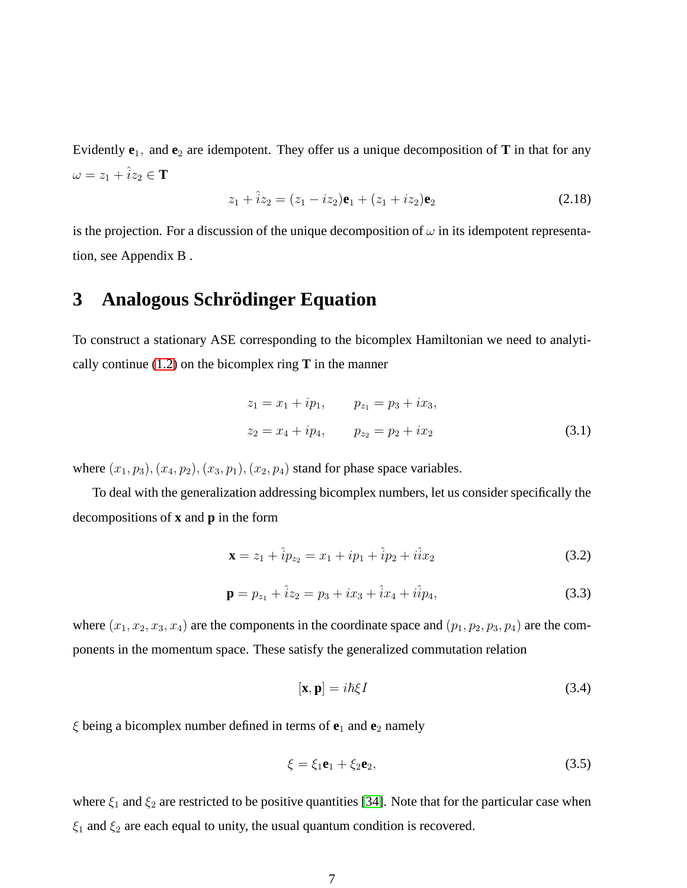Evidently  $e_1$ , and  $e_2$  are idempotent. They offer us a unique decomposition of **T** in that for any  $\omega = z_1 + \hat{i}z_2 \in \mathbf{T}$ 

$$
z_1 + \hat{i}z_2 = (z_1 - iz_2)\mathbf{e}_1 + (z_1 + iz_2)\mathbf{e}_2 \tag{2.18}
$$

is the projection. For a discussion of the unique decomposition of  $\omega$  in its idempotent representation, see Appendix B .

# <span id="page-6-0"></span>**3** Analogous Schrödinger Equation

To construct a stationary ASE corresponding to the bicomplex Hamiltonian we need to analytically continue  $(1.2)$  on the bicomplex ring **T** in the manner

$$
z_1 = x_1 + ip_1, \t p_{z_1} = p_3 + ix_3,
$$
  

$$
z_2 = x_4 + ip_4, \t p_{z_2} = p_2 + ix_2
$$
 (3.1)

where  $(x_1, p_3), (x_4, p_2), (x_3, p_1), (x_2, p_4)$  stand for phase space variables.

To deal with the generalization addressing bicomplex numbers, let us consider specifically the decompositions of **x** and **p** in the form

$$
\mathbf{x} = z_1 + \hat{i}p_{z_2} = x_1 + ip_1 + \hat{i}p_2 + i\hat{i}x_2 \tag{3.2}
$$

<span id="page-6-2"></span>
$$
\mathbf{p} = p_{z_1} + \hat{i}z_2 = p_3 + ix_3 + \hat{i}x_4 + i\hat{i}p_4,\tag{3.3}
$$

where  $(x_1, x_2, x_3, x_4)$  are the components in the coordinate space and  $(p_1, p_2, p_3, p_4)$  are the components in the momentum space. These satisfy the generalized commutation relation

<span id="page-6-1"></span>
$$
[\mathbf{x}, \mathbf{p}] = i\hbar \xi I \tag{3.4}
$$

 $\xi$  being a bicomplex number defined in terms of  $e_1$  and  $e_2$  namely

$$
\xi = \xi_1 \mathbf{e}_1 + \xi_2 \mathbf{e}_2,\tag{3.5}
$$

where  $\xi_1$  and  $\xi_2$  are restricted to be positive quantities [\[34\]](#page-32-11). Note that for the particular case when  $\xi_1$  and  $\xi_2$  are each equal to unity, the usual quantum condition is recovered.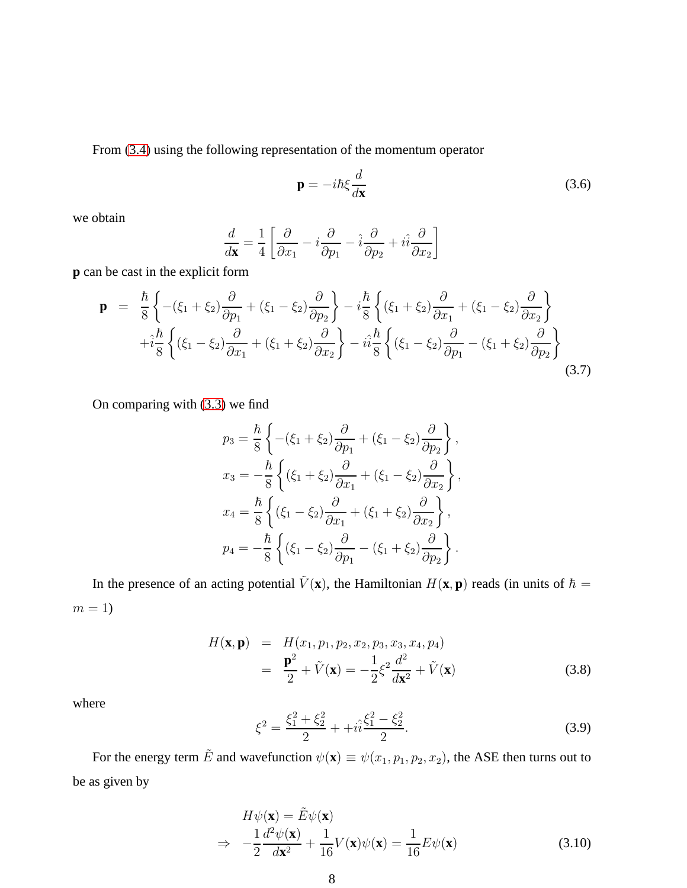From [\(3.4\)](#page-6-1) using the following representation of the momentum operator

$$
\mathbf{p} = -i\hbar \xi \frac{d}{d\mathbf{x}} \tag{3.6}
$$

we obtain

$$
\frac{d}{d\mathbf{x}} = \frac{1}{4} \left[ \frac{\partial}{\partial x_1} - i \frac{\partial}{\partial p_1} - \hat{i} \frac{\partial}{\partial p_2} + i \hat{i} \frac{\partial}{\partial x_2} \right]
$$

**p** can be cast in the explicit form

$$
\mathbf{p} = \frac{\hbar}{8} \left\{ -( \xi_1 + \xi_2) \frac{\partial}{\partial p_1} + (\xi_1 - \xi_2) \frac{\partial}{\partial p_2} \right\} - i \frac{\hbar}{8} \left\{ (\xi_1 + \xi_2) \frac{\partial}{\partial x_1} + (\xi_1 - \xi_2) \frac{\partial}{\partial x_2} \right\} + i \frac{\hbar}{8} \left\{ (\xi_1 - \xi_2) \frac{\partial}{\partial x_1} + (\xi_1 + \xi_2) \frac{\partial}{\partial x_2} \right\} - i i \frac{\hbar}{8} \left\{ (\xi_1 - \xi_2) \frac{\partial}{\partial p_1} - (\xi_1 + \xi_2) \frac{\partial}{\partial p_2} \right\}
$$
(3.7)

On comparing with [\(3.3\)](#page-6-2) we find

$$
p_3 = \frac{\hbar}{8} \left\{ -( \xi_1 + \xi_2) \frac{\partial}{\partial p_1} + (\xi_1 - \xi_2) \frac{\partial}{\partial p_2} \right\},\,
$$
  
\n
$$
x_3 = -\frac{\hbar}{8} \left\{ (\xi_1 + \xi_2) \frac{\partial}{\partial x_1} + (\xi_1 - \xi_2) \frac{\partial}{\partial x_2} \right\},\,
$$
  
\n
$$
x_4 = \frac{\hbar}{8} \left\{ (\xi_1 - \xi_2) \frac{\partial}{\partial x_1} + (\xi_1 + \xi_2) \frac{\partial}{\partial x_2} \right\},\,
$$
  
\n
$$
p_4 = -\frac{\hbar}{8} \left\{ (\xi_1 - \xi_2) \frac{\partial}{\partial p_1} - (\xi_1 + \xi_2) \frac{\partial}{\partial p_2} \right\}.
$$

In the presence of an acting potential  $\tilde{V}(\mathbf{x})$ , the Hamiltonian  $H(\mathbf{x}, \mathbf{p})$  reads (in units of  $\hbar =$  $m = 1$ 

$$
H(\mathbf{x}, \mathbf{p}) = H(x_1, p_1, p_2, x_2, p_3, x_3, x_4, p_4)
$$
  
= 
$$
\frac{\mathbf{p}^2}{2} + \tilde{V}(\mathbf{x}) = -\frac{1}{2}\xi^2 \frac{d^2}{d\mathbf{x}^2} + \tilde{V}(\mathbf{x})
$$
(3.8)

where

$$
\xi^2 = \frac{\xi_1^2 + \xi_2^2}{2} + i\hat{i}\frac{\xi_1^2 - \xi_2^2}{2}.
$$
\n(3.9)

For the energy term  $\tilde{E}$  and wavefunction  $\psi(\mathbf{x}) \equiv \psi(x_1, p_1, p_2, x_2)$ , the ASE then turns out to be as given by

<span id="page-7-0"></span>
$$
H\psi(\mathbf{x}) = \tilde{E}\psi(\mathbf{x})
$$
  
\n
$$
\Rightarrow -\frac{1}{2}\frac{d^2\psi(\mathbf{x})}{d\mathbf{x}^2} + \frac{1}{16}V(\mathbf{x})\psi(\mathbf{x}) = \frac{1}{16}E\psi(\mathbf{x})
$$
(3.10)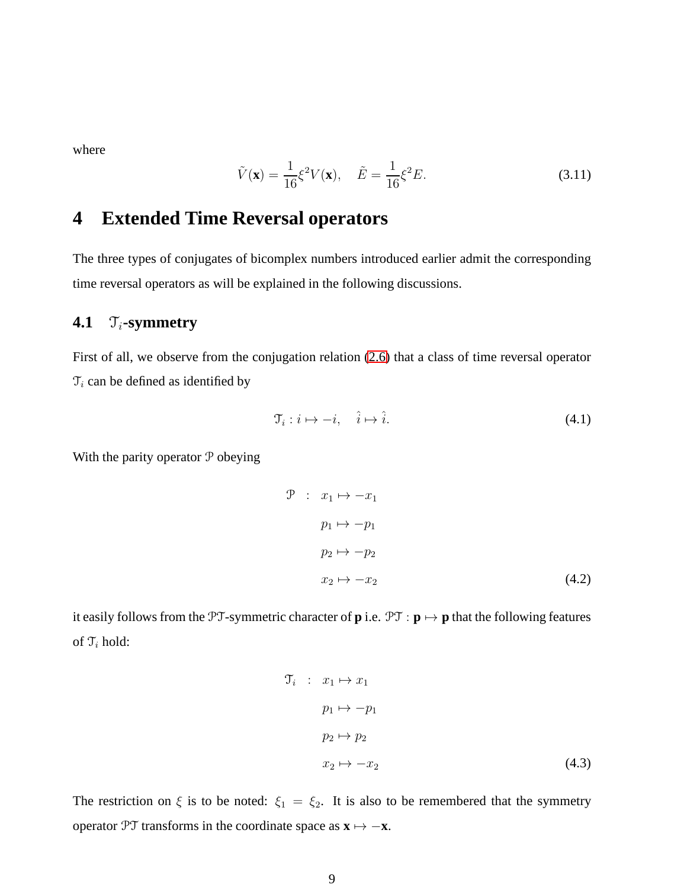where

<span id="page-8-2"></span>
$$
\tilde{V}(\mathbf{x}) = \frac{1}{16} \xi^2 V(\mathbf{x}), \quad \tilde{E} = \frac{1}{16} \xi^2 E.
$$
\n(3.11)

# <span id="page-8-0"></span>**4 Extended Time Reversal operators**

The three types of conjugates of bicomplex numbers introduced earlier admit the corresponding time reversal operators as will be explained in the following discussions.

### **4.1**  $\mathcal{T}_i$ -symmetry

First of all, we observe from the conjugation relation [\(2.6\)](#page-4-1) that a class of time reversal operator  $\mathcal{T}_i$  can be defined as identified by

$$
\mathcal{T}_i: i \mapsto -i, \quad \hat{i} \mapsto \hat{i}.\tag{4.1}
$$

With the parity operator  $P$  obeying

<span id="page-8-1"></span>
$$
\begin{array}{rcl}\n\mathcal{P} & : & x_1 \mapsto -x_1 \\
& p_1 \mapsto -p_1 \\
& p_2 \mapsto -p_2 \\
& x_2 \mapsto -x_2\n\end{array}\n\tag{4.2}
$$

it easily follows from the PT-symmetric character of  $\bf{p}$  i.e.  $\mathcal{PT} : \bf{p} \mapsto \bf{p}$  that the following features of  $\mathfrak{T}_i$  hold:

$$
\mathcal{T}_i : x_1 \mapsto x_1
$$
  
\n
$$
p_1 \mapsto -p_1
$$
  
\n
$$
p_2 \mapsto p_2
$$
  
\n
$$
x_2 \mapsto -x_2
$$
\n(4.3)

The restriction on  $\xi$  is to be noted:  $\xi_1 = \xi_2$ . It is also to be remembered that the symmetry operator PT transforms in the coordinate space as  $\mathbf{x} \mapsto -\mathbf{x}$ .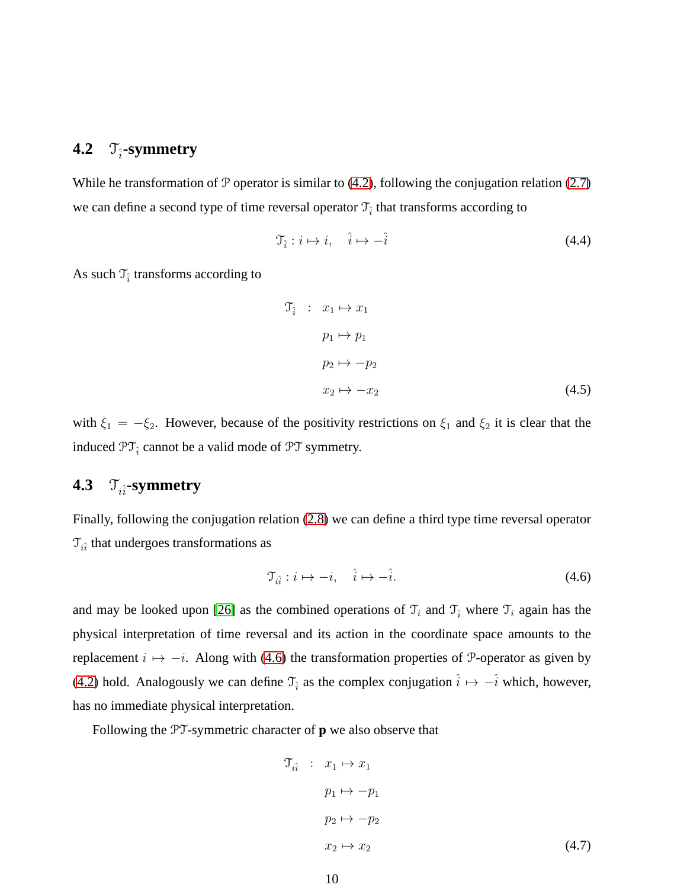# **4.2**  $\mathcal{T}_{\hat{i}}$ -symmetry

While he transformation of  $P$  operator is similar to [\(4.2\)](#page-8-1), following the conjugation relation [\(2.7\)](#page-4-1) we can define a second type of time reversal operator  $\mathfrak{T}_{\hat{i}}$  that transforms according to

$$
\mathfrak{T}_{\hat{i}}: i \mapsto i, \quad \hat{i} \mapsto -\hat{i} \tag{4.4}
$$

As such  $\mathcal{T}_{\hat{i}}$  transforms according to

$$
\mathcal{T}_{\hat{i}} \quad : \quad x_1 \mapsto x_1
$$
\n
$$
p_1 \mapsto p_1
$$
\n
$$
p_2 \mapsto -p_2
$$
\n
$$
x_2 \mapsto -x_2 \tag{4.5}
$$

with  $\xi_1 = -\xi_2$ . However, because of the positivity restrictions on  $\xi_1$  and  $\xi_2$  it is clear that the induced  $\mathfrak{PT}_{\hat{i}}$  cannot be a valid mode of  $\mathfrak{PT}$  symmetry.

# **4.3**  $\mathcal{T}_{i\hat{i}}$ -symmetry

Finally, following the conjugation relation [\(2.8\)](#page-4-1) we can define a third type time reversal operator  $\mathcal{T}_{i\hat{i}}$  that undergoes transformations as

<span id="page-9-0"></span>
$$
\mathcal{T}_{i\hat{i}} : i \mapsto -i, \quad \hat{i} \mapsto -\hat{i}.\tag{4.6}
$$

and may be looked upon [\[26\]](#page-32-4) as the combined operations of  $\mathcal{T}_i$  and  $\mathcal{T}_i$  where  $\mathcal{T}_i$  again has the physical interpretation of time reversal and its action in the coordinate space amounts to the replacement  $i \mapsto -i$ . Along with [\(4.6\)](#page-9-0) the transformation properties of P-operator as given by [\(4.2\)](#page-8-1) hold. Analogously we can define  $\mathcal{T}_{\hat{i}}$  as the complex conjugation  $\hat{i} \mapsto -\hat{i}$  which, however, has no immediate physical interpretation.

Following the PT-symmetric character of **p** we also observe that

$$
\mathcal{T}_{i\hat{i}} : x_1 \mapsto x_1
$$
  
\n
$$
p_1 \mapsto -p_1
$$
  
\n
$$
p_2 \mapsto -p_2
$$
  
\n
$$
x_2 \mapsto x_2
$$
\n(4.7)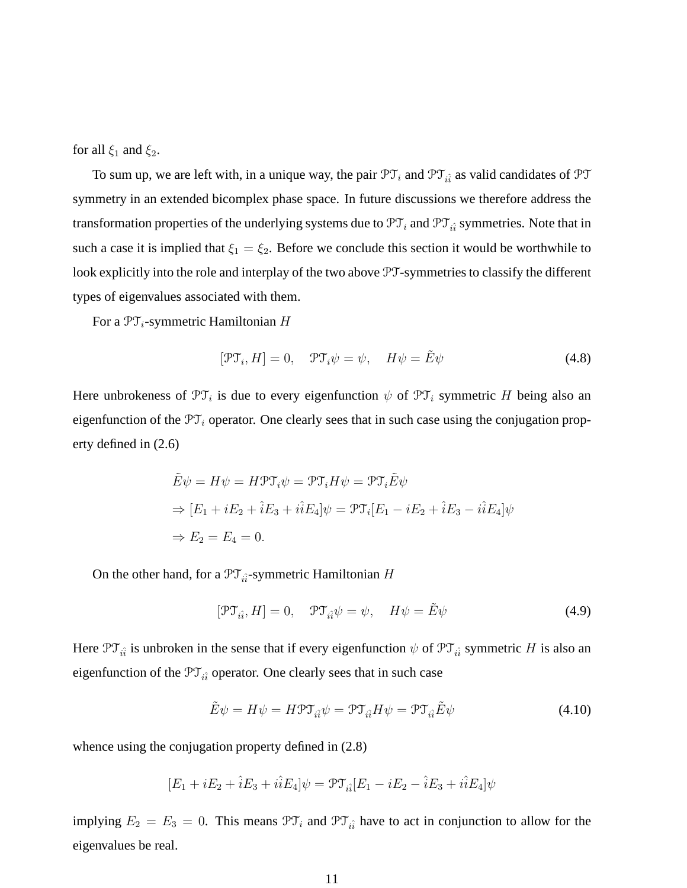for all  $\xi_1$  and  $\xi_2$ .

To sum up, we are left with, in a unique way, the pair  $\mathfrak{PT}_i$  and  $\mathfrak{PT}_{i\hat{i}}$  as valid candidates of  $\mathfrak{PT}$ symmetry in an extended bicomplex phase space. In future discussions we therefore address the transformation properties of the underlying systems due to  $\mathfrak{PT}_i$  and  $\mathfrak{PT}_{i\hat{i}}$  symmetries. Note that in such a case it is implied that  $\xi_1 = \xi_2$ . Before we conclude this section it would be worthwhile to look explicitly into the role and interplay of the two above PT-symmetries to classify the different types of eigenvalues associated with them.

For a  $\mathfrak{PT}_i$ -symmetric Hamiltonian H

$$
[\mathcal{PT}_i, H] = 0, \quad \mathcal{PT}_i \psi = \psi, \quad H\psi = \tilde{E}\psi \tag{4.8}
$$

Here unbrokeness of  $\mathfrak{PT}_i$  is due to every eigenfunction  $\psi$  of  $\mathfrak{PT}_i$  symmetric H being also an eigenfunction of the  $\mathfrak{PT}_i$  operator. One clearly sees that in such case using the conjugation property defined in (2.6)

$$
\tilde{E}\psi = H\psi = H\mathfrak{PT}_i\psi = \mathfrak{PT}_iH\psi = \mathfrak{PT}_i\tilde{E}\psi
$$
  
\n
$$
\Rightarrow [E_1 + iE_2 + \hat{i}E_3 + i\hat{i}E_4]\psi = \mathfrak{PT}_i[E_1 - iE_2 + \hat{i}E_3 - i\hat{i}E_4]\psi
$$
  
\n
$$
\Rightarrow E_2 = E_4 = 0.
$$

On the other hand, for a  $\mathcal{PT}_{\hat{i}\hat{i}}$ -symmetric Hamiltonian H

$$
[\mathcal{PT}_{i\hat{i}}, H] = 0, \quad \mathcal{PT}_{i\hat{i}}\psi = \psi, \quad H\psi = \tilde{E}\psi \tag{4.9}
$$

Here  $\mathfrak{PT}_{i\hat{i}}$  is unbroken in the sense that if every eigenfunction  $\psi$  of  $\mathfrak{PT}_{i\hat{i}}$  symmetric H is also an eigenfunction of the  $\mathfrak{PT}_{i\hat{i}}$  operator. One clearly sees that in such case

$$
\tilde{E}\psi = H\psi = H\mathcal{P}\mathcal{T}_{i\hat{i}}\psi = \mathcal{P}\mathcal{T}_{i\hat{i}}H\psi = \mathcal{P}\mathcal{T}_{i\hat{i}}\tilde{E}\psi
$$
\n(4.10)

whence using the conjugation property defined in  $(2.8)$ 

$$
[E_1 + iE_2 + \hat{i}E_3 + i\hat{i}E_4]\psi = \mathcal{PT}_{i\hat{i}}[E_1 - iE_2 - \hat{i}E_3 + i\hat{i}E_4]\psi
$$

implying  $E_2 = E_3 = 0$ . This means  $\mathfrak{PT}_i$  and  $\mathfrak{PT}_{i\hat{i}}$  have to act in conjunction to allow for the eigenvalues be real.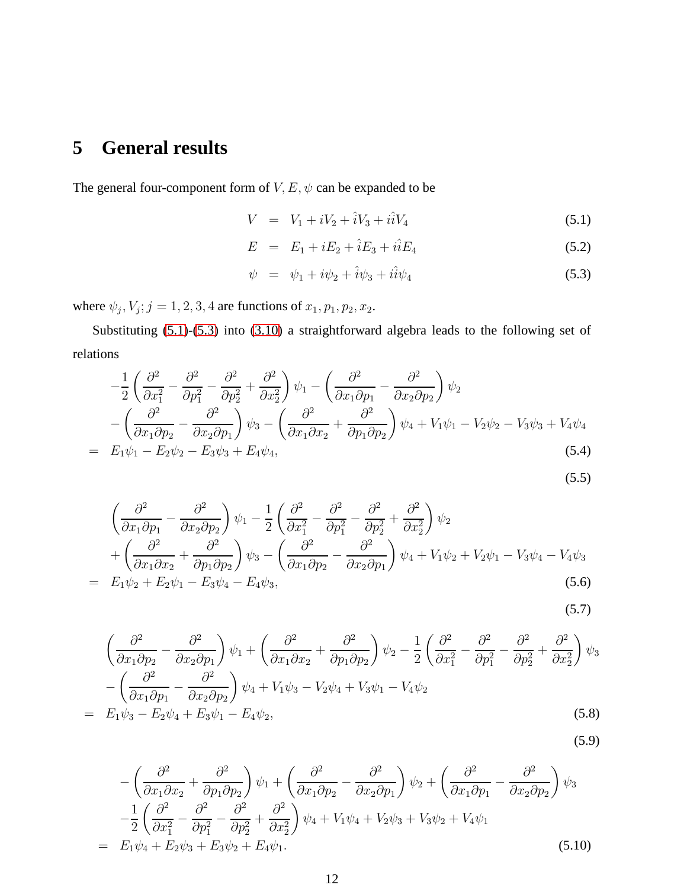# **5 General results**

The general four-component form of  $V, E, \psi$  can be expanded to be

<span id="page-11-0"></span>
$$
V = V_1 + iV_2 + \hat{i}V_3 + i\hat{i}V_4 \tag{5.1}
$$

$$
E = E_1 + iE_2 + \hat{i}E_3 + i\hat{i}E_4 \tag{5.2}
$$

$$
\psi = \psi_1 + i\psi_2 + \hat{i}\psi_3 + i\hat{i}\psi_4 \tag{5.3}
$$

where  $\psi_j$ ,  $V_j$ ;  $j = 1, 2, 3, 4$  are functions of  $x_1, p_1, p_2, x_2$ .

Substituting [\(5.1\)](#page-11-0)-[\(5.3\)](#page-11-0) into [\(3.10\)](#page-7-0) a straightforward algebra leads to the following set of relations

<span id="page-11-1"></span>
$$
-\frac{1}{2}\left(\frac{\partial^2}{\partial x_1^2} - \frac{\partial^2}{\partial p_1^2} - \frac{\partial^2}{\partial p_2^2} + \frac{\partial^2}{\partial x_2^2}\right)\psi_1 - \left(\frac{\partial^2}{\partial x_1 \partial p_1} - \frac{\partial^2}{\partial x_2 \partial p_2}\right)\psi_2
$$
  
 
$$
-\left(\frac{\partial^2}{\partial x_1 \partial p_2} - \frac{\partial^2}{\partial x_2 \partial p_1}\right)\psi_3 - \left(\frac{\partial^2}{\partial x_1 \partial x_2} + \frac{\partial^2}{\partial p_1 \partial p_2}\right)\psi_4 + V_1\psi_1 - V_2\psi_2 - V_3\psi_3 + V_4\psi_4
$$
  
=  $E_1\psi_1 - E_2\psi_2 - E_3\psi_3 + E_4\psi_4,$  (5.4)

$$
(5.5)
$$

$$
\begin{split}\n&\left(\frac{\partial^2}{\partial x_1 \partial p_1} - \frac{\partial^2}{\partial x_2 \partial p_2}\right) \psi_1 - \frac{1}{2} \left(\frac{\partial^2}{\partial x_1^2} - \frac{\partial^2}{\partial p_1^2} - \frac{\partial^2}{\partial p_2^2} + \frac{\partial^2}{\partial x_2^2}\right) \psi_2 \\
&+ \left(\frac{\partial^2}{\partial x_1 \partial x_2} + \frac{\partial^2}{\partial p_1 \partial p_2}\right) \psi_3 - \left(\frac{\partial^2}{\partial x_1 \partial p_2} - \frac{\partial^2}{\partial x_2 \partial p_1}\right) \psi_4 + V_1 \psi_2 + V_2 \psi_1 - V_3 \psi_4 - V_4 \psi_3 \\
&= E_1 \psi_2 + E_2 \psi_1 - E_3 \psi_4 - E_4 \psi_3,\n\end{split} \tag{5.6}
$$

$$
(5.7)
$$

$$
\begin{split}\n&\left(\frac{\partial^2}{\partial x_1 \partial p_2} - \frac{\partial^2}{\partial x_2 \partial p_1}\right) \psi_1 + \left(\frac{\partial^2}{\partial x_1 \partial x_2} + \frac{\partial^2}{\partial p_1 \partial p_2}\right) \psi_2 - \frac{1}{2} \left(\frac{\partial^2}{\partial x_1^2} - \frac{\partial^2}{\partial p_1^2} - \frac{\partial^2}{\partial p_2^2} + \frac{\partial^2}{\partial x_2^2}\right) \psi_3 \\
&- \left(\frac{\partial^2}{\partial x_1 \partial p_1} - \frac{\partial^2}{\partial x_2 \partial p_2}\right) \psi_4 + V_1 \psi_3 - V_2 \psi_4 + V_3 \psi_1 - V_4 \psi_2 \\
&= E_1 \psi_3 - E_2 \psi_4 + E_3 \psi_1 - E_4 \psi_2,\n\end{split}
$$
\n(5.8)

$$
(5.9)
$$

<span id="page-11-2"></span>
$$
-\left(\frac{\partial^2}{\partial x_1 \partial x_2} + \frac{\partial^2}{\partial p_1 \partial p_2}\right)\psi_1 + \left(\frac{\partial^2}{\partial x_1 \partial p_2} - \frac{\partial^2}{\partial x_2 \partial p_1}\right)\psi_2 + \left(\frac{\partial^2}{\partial x_1 \partial p_1} - \frac{\partial^2}{\partial x_2 \partial p_2}\right)\psi_3
$$
  

$$
-\frac{1}{2}\left(\frac{\partial^2}{\partial x_1^2} - \frac{\partial^2}{\partial p_1^2} - \frac{\partial^2}{\partial p_2^2} + \frac{\partial^2}{\partial x_2^2}\right)\psi_4 + V_1\psi_4 + V_2\psi_3 + V_3\psi_2 + V_4\psi_1
$$
  

$$
= E_1\psi_4 + E_2\psi_3 + E_3\psi_2 + E_4\psi_1.
$$
 (5.10)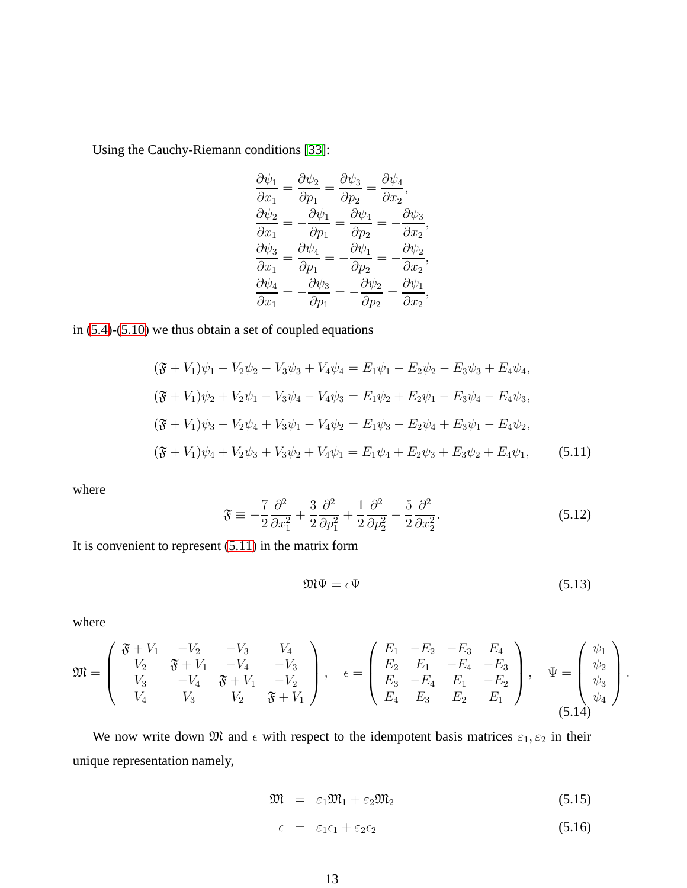Using the Cauchy-Riemann conditions [\[33\]](#page-32-12):

$$
\begin{aligned}\n\frac{\partial \psi_1}{\partial x_1} &= \frac{\partial \psi_2}{\partial p_1} = \frac{\partial \psi_3}{\partial p_2} = \frac{\partial \psi_4}{\partial x_2},\\
\frac{\partial \psi_2}{\partial x_1} &= -\frac{\partial \psi_1}{\partial p_1} = \frac{\partial \psi_4}{\partial p_2} = -\frac{\partial \psi_3}{\partial x_2},\\
\frac{\partial \psi_3}{\partial x_1} &= \frac{\partial \psi_4}{\partial p_1} = -\frac{\partial \psi_1}{\partial p_2} = -\frac{\partial \psi_2}{\partial x_2},\\
\frac{\partial \psi_4}{\partial x_1} &= -\frac{\partial \psi_3}{\partial p_1} = -\frac{\partial \psi_2}{\partial p_2} = \frac{\partial \psi_1}{\partial x_2},\n\end{aligned}
$$

in [\(5.4\)](#page-11-1)-[\(5.10\)](#page-11-2) we thus obtain a set of coupled equations

<span id="page-12-0"></span>
$$
(\mathfrak{F} + V_1)\psi_1 - V_2\psi_2 - V_3\psi_3 + V_4\psi_4 = E_1\psi_1 - E_2\psi_2 - E_3\psi_3 + E_4\psi_4,
$$
  
\n
$$
(\mathfrak{F} + V_1)\psi_2 + V_2\psi_1 - V_3\psi_4 - V_4\psi_3 = E_1\psi_2 + E_2\psi_1 - E_3\psi_4 - E_4\psi_3,
$$
  
\n
$$
(\mathfrak{F} + V_1)\psi_3 - V_2\psi_4 + V_3\psi_1 - V_4\psi_2 = E_1\psi_3 - E_2\psi_4 + E_3\psi_1 - E_4\psi_2,
$$
  
\n
$$
(\mathfrak{F} + V_1)\psi_4 + V_2\psi_3 + V_3\psi_2 + V_4\psi_1 = E_1\psi_4 + E_2\psi_3 + E_3\psi_2 + E_4\psi_1,
$$
\n(5.11)

where

$$
\mathfrak{F} \equiv -\frac{7}{2} \frac{\partial^2}{\partial x_1^2} + \frac{3}{2} \frac{\partial^2}{\partial p_1^2} + \frac{1}{2} \frac{\partial^2}{\partial p_2^2} - \frac{5}{2} \frac{\partial^2}{\partial x_2^2}.
$$
\n(5.12)

It is convenient to represent [\(5.11\)](#page-12-0) in the matrix form

<span id="page-12-2"></span>
$$
\mathfrak{M}\Psi = \epsilon \Psi \tag{5.13}
$$

where

$$
\mathfrak{M} = \begin{pmatrix} \mathfrak{F} + V_1 & -V_2 & -V_3 & V_4 \\ V_2 & \mathfrak{F} + V_1 & -V_4 & -V_3 \\ V_3 & -V_4 & \mathfrak{F} + V_1 & -V_2 \\ V_4 & V_3 & V_2 & \mathfrak{F} + V_1 \end{pmatrix}, \quad \epsilon = \begin{pmatrix} E_1 & -E_2 & -E_3 & E_4 \\ E_2 & E_1 & -E_4 & -E_3 \\ E_3 & -E_4 & E_1 & -E_2 \\ E_4 & E_3 & E_2 & E_1 \end{pmatrix}, \quad \Psi = \begin{pmatrix} \psi_1 \\ \psi_2 \\ \psi_3 \\ \psi_4 \end{pmatrix}.
$$

We now write down  $\mathfrak{M}$  and  $\epsilon$  with respect to the idempotent basis matrices  $\varepsilon_1, \varepsilon_2$  in their unique representation namely,

<span id="page-12-1"></span>
$$
\mathfrak{M} = \varepsilon_1 \mathfrak{M}_1 + \varepsilon_2 \mathfrak{M}_2 \tag{5.15}
$$

$$
\epsilon = \varepsilon_1 \epsilon_1 + \varepsilon_2 \epsilon_2 \tag{5.16}
$$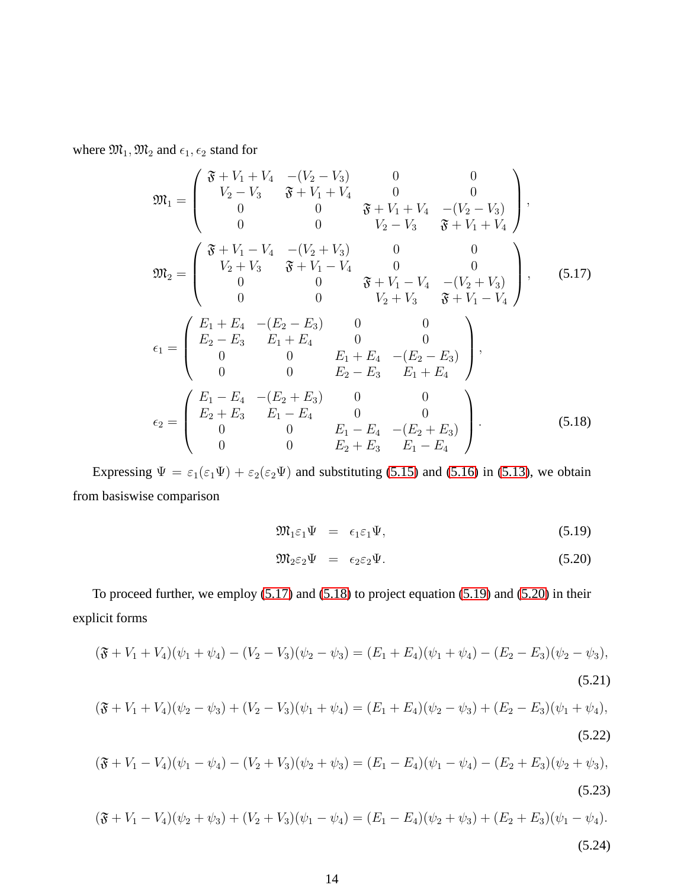where  $\mathfrak{M}_1,\mathfrak{M}_2$  and  $\epsilon_1,\epsilon_2$  stand for

<span id="page-13-0"></span>
$$
\mathfrak{M}_{1} = \begin{pmatrix}\n\mathfrak{F} + V_{1} + V_{4} & -(V_{2} - V_{3}) & 0 & 0 \\
V_{2} - V_{3} & \mathfrak{F} + V_{1} + V_{4} & 0 & 0 \\
0 & 0 & \mathfrak{F} + V_{1} + V_{4} & -(V_{2} - V_{3}) \\
0 & 0 & V_{2} - V_{3} & \mathfrak{F} + V_{1} + V_{4}\n\end{pmatrix},
$$
\n
$$
\mathfrak{M}_{2} = \begin{pmatrix}\n\mathfrak{F} + V_{1} - V_{4} & -(V_{2} + V_{3}) & 0 & 0 \\
V_{2} + V_{3} & \mathfrak{F} + V_{1} - V_{4} & 0 & 0 \\
0 & 0 & \mathfrak{F} + V_{1} - V_{4} & -(V_{2} + V_{3}) \\
0 & 0 & V_{2} + V_{3} & \mathfrak{F} + V_{1} - V_{4}\n\end{pmatrix}, \quad (5.17)
$$
\n
$$
\epsilon_{1} = \begin{pmatrix}\nE_{1} + E_{4} & -(E_{2} - E_{3}) & 0 & 0 \\
E_{2} - E_{3} & E_{1} + E_{4} & 0 & 0 \\
0 & 0 & E_{1} + E_{4} & -(E_{2} - E_{3}) \\
0 & 0 & E_{2} - E_{3} & E_{1} + E_{4}\n\end{pmatrix},
$$
\n
$$
\epsilon_{2} = \begin{pmatrix}\nE_{1} - E_{4} & -(E_{2} + E_{3}) & 0 & 0 \\
E_{2} + E_{3} & E_{1} - E_{4} & 0 & 0 \\
0 & 0 & E_{1} - E_{4} & -(E_{2} + E_{3}) \\
0 & 0 & E_{2} + E_{3} & E_{1} - E_{4}\n\end{pmatrix}.
$$
\n(5.18)

Expressing  $\Psi = \varepsilon_1(\varepsilon_1\Psi) + \varepsilon_2(\varepsilon_2\Psi)$  and substituting [\(5.15\)](#page-12-1) and [\(5.16\)](#page-12-1) in [\(5.13\)](#page-12-2), we obtain from basiswise comparison

<span id="page-13-1"></span>
$$
\mathfrak{M}_1 \varepsilon_1 \Psi = \varepsilon_1 \varepsilon_1 \Psi, \tag{5.19}
$$

$$
\mathfrak{M}_2\varepsilon_2\Psi = \epsilon_2\varepsilon_2\Psi. \tag{5.20}
$$

To proceed further, we employ [\(5.17\)](#page-13-0) and [\(5.18\)](#page-13-0) to project equation [\(5.19\)](#page-13-1) and [\(5.20\)](#page-13-1) in their explicit forms

<span id="page-13-2"></span>
$$
(\mathfrak{F} + V_1 + V_4)(\psi_1 + \psi_4) - (V_2 - V_3)(\psi_2 - \psi_3) = (E_1 + E_4)(\psi_1 + \psi_4) - (E_2 - E_3)(\psi_2 - \psi_3),
$$
\n(5.21)

$$
(\mathfrak{F} + V_1 + V_4)(\psi_2 - \psi_3) + (V_2 - V_3)(\psi_1 + \psi_4) = (E_1 + E_4)(\psi_2 - \psi_3) + (E_2 - E_3)(\psi_1 + \psi_4),
$$
\n(5.22)

$$
(\mathfrak{F} + V_1 - V_4)(\psi_1 - \psi_4) - (V_2 + V_3)(\psi_2 + \psi_3) = (E_1 - E_4)(\psi_1 - \psi_4) - (E_2 + E_3)(\psi_2 + \psi_3),
$$
\n(5.23)

$$
(\mathfrak{F} + V_1 - V_4)(\psi_2 + \psi_3) + (V_2 + V_3)(\psi_1 - \psi_4) = (E_1 - E_4)(\psi_2 + \psi_3) + (E_2 + E_3)(\psi_1 - \psi_4).
$$
\n(5.24)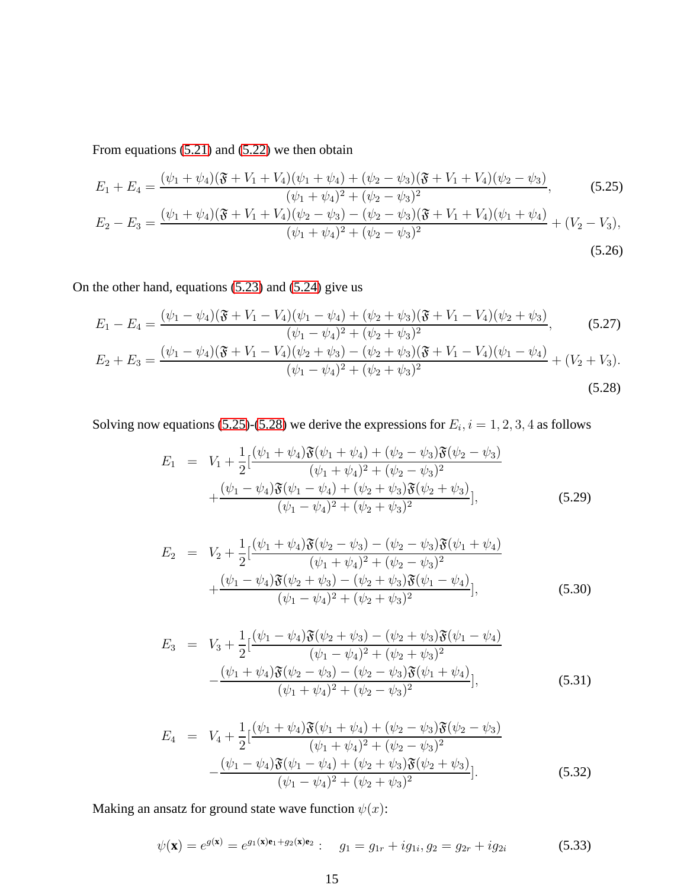From equations [\(5.21\)](#page-13-2) and [\(5.22\)](#page-13-2) we then obtain

<span id="page-14-0"></span>
$$
E_1 + E_4 = \frac{(\psi_1 + \psi_4)(\mathfrak{F} + V_1 + V_4)(\psi_1 + \psi_4) + (\psi_2 - \psi_3)(\mathfrak{F} + V_1 + V_4)(\psi_2 - \psi_3)}{(\psi_1 + \psi_4)^2 + (\psi_2 - \psi_3)^2},
$$
(5.25)

$$
E_2 - E_3 = \frac{(\psi_1 + \psi_4)(\mathfrak{F} + V_1 + V_4)(\psi_2 - \psi_3) - (\psi_2 - \psi_3)(\mathfrak{F} + V_1 + V_4)(\psi_1 + \psi_4)}{(\psi_1 + \psi_4)^2 + (\psi_2 - \psi_3)^2} + (V_2 - V_3),
$$
\n(5.26)

On the other hand, equations [\(5.23\)](#page-13-2) and [\(5.24\)](#page-13-2) give us

<span id="page-14-1"></span>
$$
E_1 - E_4 = \frac{(\psi_1 - \psi_4)(\mathfrak{F} + V_1 - V_4)(\psi_1 - \psi_4) + (\psi_2 + \psi_3)(\mathfrak{F} + V_1 - V_4)(\psi_2 + \psi_3)}{(\psi_1 - \psi_4)^2 + (\psi_2 + \psi_3)^2},
$$
(5.27)

$$
E_2 + E_3 = \frac{(\psi_1 - \psi_4)(\mathfrak{F} + V_1 - V_4)(\psi_2 + \psi_3) - (\psi_2 + \psi_3)(\mathfrak{F} + V_1 - V_4)(\psi_1 - \psi_4)}{(\psi_1 - \psi_4)^2 + (\psi_2 + \psi_3)^2} + (V_2 + V_3).
$$
\n(5.28)

Solving now equations [\(5.25\)](#page-14-0)-[\(5.28\)](#page-14-1) we derive the expressions for  $E_i$ ,  $i = 1, 2, 3, 4$  as follows

<span id="page-14-2"></span>
$$
E_1 = V_1 + \frac{1}{2} \left[ \frac{(\psi_1 + \psi_4)\mathfrak{F}(\psi_1 + \psi_4) + (\psi_2 - \psi_3)\mathfrak{F}(\psi_2 - \psi_3)}{(\psi_1 + \psi_4)^2 + (\psi_2 - \psi_3)^2} + \frac{(\psi_1 - \psi_4)\mathfrak{F}(\psi_1 - \psi_4) + (\psi_2 + \psi_3)\mathfrak{F}(\psi_2 + \psi_3)}{(\psi_1 - \psi_4)^2 + (\psi_2 + \psi_3)^2} \right],
$$
(5.29)

$$
E_2 = V_2 + \frac{1}{2} \left[ \frac{(\psi_1 + \psi_4)\mathfrak{F}(\psi_2 - \psi_3) - (\psi_2 - \psi_3)\mathfrak{F}(\psi_1 + \psi_4)}{(\psi_1 + \psi_4)^2 + (\psi_2 - \psi_3)^2} + \frac{(\psi_1 - \psi_4)\mathfrak{F}(\psi_2 + \psi_3) - (\psi_2 + \psi_3)\mathfrak{F}(\psi_1 - \psi_4)}{(\psi_1 - \psi_4)^2 + (\psi_2 + \psi_3)^2} \right],
$$
(5.30)

$$
E_3 = V_3 + \frac{1}{2} \left[ \frac{(\psi_1 - \psi_4)\mathfrak{F}(\psi_2 + \psi_3) - (\psi_2 + \psi_3)\mathfrak{F}(\psi_1 - \psi_4)}{(\psi_1 - \psi_4)^2 + (\psi_2 + \psi_3)^2} - \frac{(\psi_1 + \psi_4)\mathfrak{F}(\psi_2 - \psi_3) - (\psi_2 - \psi_3)\mathfrak{F}(\psi_1 + \psi_4)}{(\psi_1 + \psi_4)^2 + (\psi_2 - \psi_3)^2} \right],
$$
(5.31)

$$
E_4 = V_4 + \frac{1}{2} \left[ \frac{(\psi_1 + \psi_4)\mathfrak{F}(\psi_1 + \psi_4) + (\psi_2 - \psi_3)\mathfrak{F}(\psi_2 - \psi_3)}{(\psi_1 + \psi_4)^2 + (\psi_2 - \psi_3)^2} - \frac{(\psi_1 - \psi_4)\mathfrak{F}(\psi_1 - \psi_4) + (\psi_2 + \psi_3)\mathfrak{F}(\psi_2 + \psi_3)}{(\psi_1 - \psi_4)^2 + (\psi_2 + \psi_3)^2} \right].
$$
 (5.32)

Making an ansatz for ground state wave function  $\psi(x)$ :

<span id="page-14-3"></span>
$$
\psi(\mathbf{x}) = e^{g(\mathbf{x})} = e^{g_1(\mathbf{x})\mathbf{e}_1 + g_2(\mathbf{x})\mathbf{e}_2} : \quad g_1 = g_{1r} + ig_{1i}, g_2 = g_{2r} + ig_{2i}
$$
(5.33)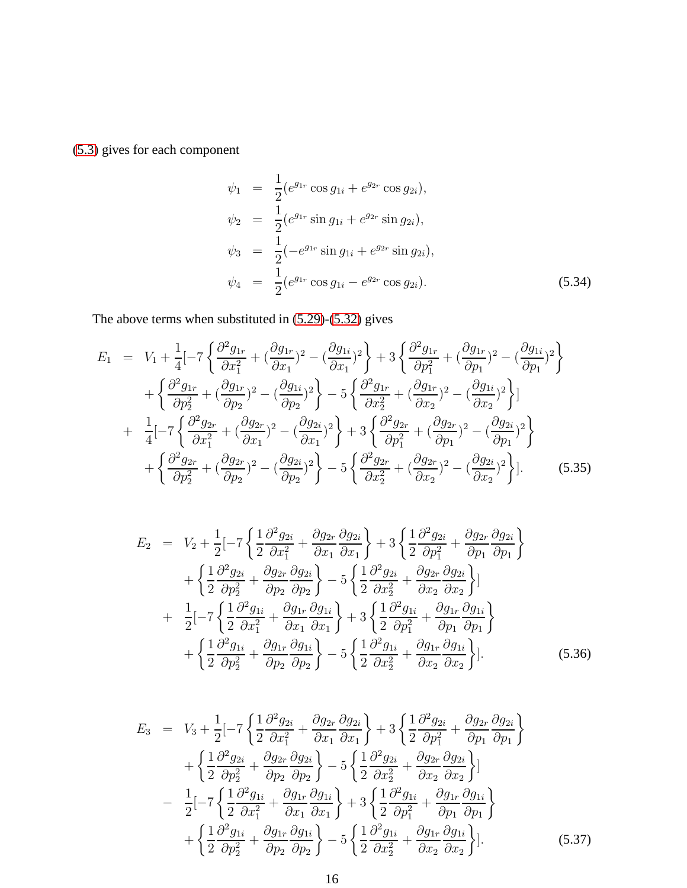[\(5.3\)](#page-11-0) gives for each component

$$
\psi_1 = \frac{1}{2} (e^{g_{1r}} \cos g_{1i} + e^{g_{2r}} \cos g_{2i}),
$$
  
\n
$$
\psi_2 = \frac{1}{2} (e^{g_{1r}} \sin g_{1i} + e^{g_{2r}} \sin g_{2i}),
$$
  
\n
$$
\psi_3 = \frac{1}{2} (-e^{g_{1r}} \sin g_{1i} + e^{g_{2r}} \sin g_{2i}),
$$
  
\n
$$
\psi_4 = \frac{1}{2} (e^{g_{1r}} \cos g_{1i} - e^{g_{2r}} \cos g_{2i}).
$$
\n(5.34)

The above terms when substituted in [\(5.29\)](#page-14-2)-[\(5.32\)](#page-14-2) gives

<span id="page-15-0"></span>
$$
E_{1} = V_{1} + \frac{1}{4} \left[ -7 \left\{ \frac{\partial^{2} g_{1r}}{\partial x_{1}^{2}} + \left( \frac{\partial g_{1r}}{\partial x_{1}} \right)^{2} - \left( \frac{\partial g_{1i}}{\partial x_{1}} \right)^{2} \right\} + 3 \left\{ \frac{\partial^{2} g_{1r}}{\partial p_{1}^{2}} + \left( \frac{\partial g_{1r}}{\partial p_{1}} \right)^{2} - \left( \frac{\partial g_{1i}}{\partial p_{1}} \right)^{2} \right\} + \left\{ \frac{\partial^{2} g_{1r}}{\partial p_{2}^{2}} + \left( \frac{\partial g_{1r}}{\partial p_{2}} \right)^{2} - \left( \frac{\partial g_{1i}}{\partial p_{2}} \right)^{2} \right\} - 5 \left\{ \frac{\partial^{2} g_{1r}}{\partial x_{2}^{2}} + \left( \frac{\partial g_{1r}}{\partial x_{2}} \right)^{2} - \left( \frac{\partial g_{1i}}{\partial x_{2}} \right)^{2} \right\} \right] + \frac{1}{4} \left[ -7 \left\{ \frac{\partial^{2} g_{2r}}{\partial x_{1}^{2}} + \left( \frac{\partial g_{2r}}{\partial x_{1}} \right)^{2} - \left( \frac{\partial g_{2i}}{\partial x_{1}} \right)^{2} \right\} + 3 \left\{ \frac{\partial^{2} g_{2r}}{\partial p_{1}^{2}} + \left( \frac{\partial g_{2r}}{\partial p_{1}} \right)^{2} - \left( \frac{\partial g_{2i}}{\partial p_{1}} \right)^{2} \right\} + \left\{ \frac{\partial^{2} g_{2r}}{\partial p_{2}^{2}} + \left( \frac{\partial g_{2r}}{\partial p_{2}} \right)^{2} - \left( \frac{\partial g_{2i}}{\partial p_{2}} \right)^{2} \right\} - 5 \left\{ \frac{\partial^{2} g_{2r}}{\partial x_{2}^{2}} + \left( \frac{\partial g_{2r}}{\partial x_{2}} \right)^{2} - \left( \frac{\partial g_{2i}}{\partial x_{2}} \right)^{2} \right\} \right].
$$
 (5.35)

$$
E_2 = V_2 + \frac{1}{2} \left[ -7 \left\{ \frac{1}{2} \frac{\partial^2 g_{2i}}{\partial x_1^2} + \frac{\partial g_{2r}}{\partial x_1} \frac{\partial g_{2i}}{\partial x_1} \right\} + 3 \left\{ \frac{1}{2} \frac{\partial^2 g_{2i}}{\partial p_1^2} + \frac{\partial g_{2r}}{\partial p_1} \frac{\partial g_{2i}}{\partial p_1} \right\} + \left\{ \frac{1}{2} \frac{\partial^2 g_{2i}}{\partial p_2^2} + \frac{\partial g_{2r}}{\partial p_2} \frac{\partial g_{2i}}{\partial p_2} \right\} - 5 \left\{ \frac{1}{2} \frac{\partial^2 g_{2i}}{\partial x_2^2} + \frac{\partial g_{2r}}{\partial x_2} \frac{\partial g_{2i}}{\partial x_2} \right\} + \frac{1}{2} \left[ -7 \left\{ \frac{1}{2} \frac{\partial^2 g_{1i}}{\partial x_1^2} + \frac{\partial g_{1r}}{\partial x_1} \frac{\partial g_{1i}}{\partial x_1} \right\} + 3 \left\{ \frac{1}{2} \frac{\partial^2 g_{1i}}{\partial p_1^2} + \frac{\partial g_{1r}}{\partial p_1} \frac{\partial g_{1i}}{\partial p_1} \right\} + \left\{ \frac{1}{2} \frac{\partial^2 g_{1i}}{\partial p_2^2} + \frac{\partial g_{1r}}{\partial p_2} \frac{\partial g_{1i}}{\partial p_2} \right\} - 5 \left\{ \frac{1}{2} \frac{\partial^2 g_{1i}}{\partial x_2^2} + \frac{\partial g_{1r}}{\partial x_2} \frac{\partial g_{1i}}{\partial x_2} \right\}.
$$
 (5.36)

$$
E_3 = V_3 + \frac{1}{2} \left[ -7 \left\{ \frac{1}{2} \frac{\partial^2 g_{2i}}{\partial x_1^2} + \frac{\partial g_{2r}}{\partial x_1} \frac{\partial g_{2i}}{\partial x_1} \right\} + 3 \left\{ \frac{1}{2} \frac{\partial^2 g_{2i}}{\partial p_1^2} + \frac{\partial g_{2r}}{\partial p_1} \frac{\partial g_{2i}}{\partial p_1} \right\} + \left\{ \frac{1}{2} \frac{\partial^2 g_{2i}}{\partial p_2^2} + \frac{\partial g_{2r}}{\partial p_2} \frac{\partial g_{2i}}{\partial p_2} \right\} - 5 \left\{ \frac{1}{2} \frac{\partial^2 g_{2i}}{\partial x_2^2} + \frac{\partial g_{2r}}{\partial x_2} \frac{\partial g_{2i}}{\partial x_2} \right\} - \frac{1}{2} \left[ -7 \left\{ \frac{1}{2} \frac{\partial^2 g_{1i}}{\partial x_1^2} + \frac{\partial g_{1r}}{\partial x_1} \frac{\partial g_{1i}}{\partial x_1} \right\} + 3 \left\{ \frac{1}{2} \frac{\partial^2 g_{1i}}{\partial p_1^2} + \frac{\partial g_{1r}}{\partial p_1} \frac{\partial g_{1i}}{\partial p_1} \right\} + \left\{ \frac{1}{2} \frac{\partial^2 g_{1i}}{\partial p_2^2} + \frac{\partial g_{1r}}{\partial p_2} \frac{\partial g_{1i}}{\partial p_2} \right\} - 5 \left\{ \frac{1}{2} \frac{\partial^2 g_{1i}}{\partial x_2^2} + \frac{\partial g_{1r}}{\partial x_2} \frac{\partial g_{1i}}{\partial x_2} \right\}.
$$
 (5.37)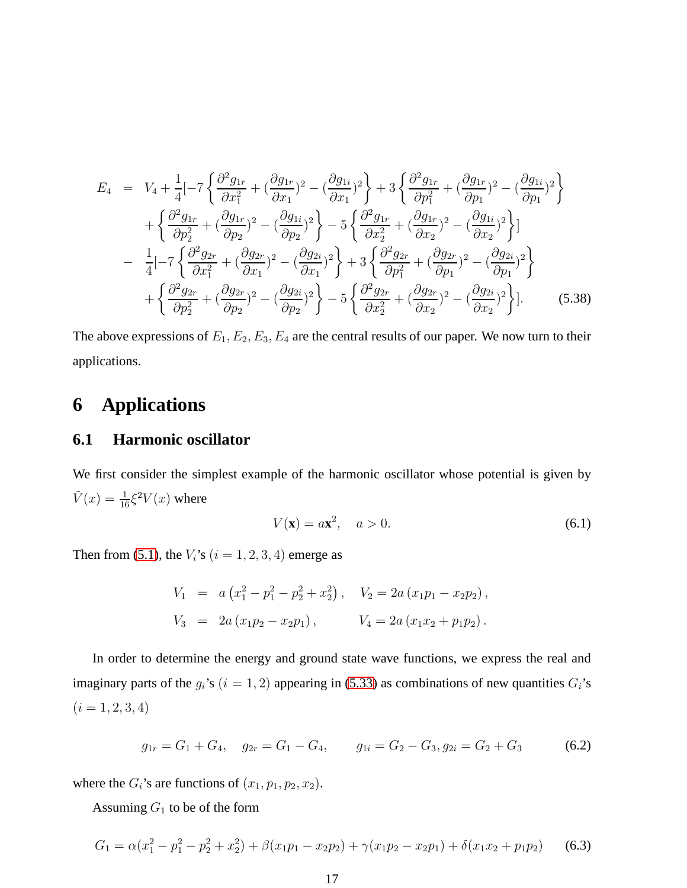<span id="page-16-2"></span>
$$
E_4 = V_4 + \frac{1}{4} \left[ -7 \left\{ \frac{\partial^2 g_{1r}}{\partial x_1^2} + \left( \frac{\partial g_{1r}}{\partial x_1} \right)^2 - \left( \frac{\partial g_{1i}}{\partial x_1} \right)^2 \right\} + 3 \left\{ \frac{\partial^2 g_{1r}}{\partial p_1^2} + \left( \frac{\partial g_{1r}}{\partial p_1} \right)^2 - \left( \frac{\partial g_{1i}}{\partial p_1} \right)^2 \right\} + \left\{ \frac{\partial^2 g_{1r}}{\partial p_2^2} + \left( \frac{\partial g_{1r}}{\partial p_2} \right)^2 - \left( \frac{\partial g_{1i}}{\partial p_2} \right)^2 \right\} - 5 \left\{ \frac{\partial^2 g_{1r}}{\partial x_2^2} + \left( \frac{\partial g_{1r}}{\partial x_2} \right)^2 - \left( \frac{\partial g_{1i}}{\partial x_2} \right)^2 \right\} - \frac{1}{4} \left[ -7 \left\{ \frac{\partial^2 g_{2r}}{\partial x_1^2} + \left( \frac{\partial g_{2r}}{\partial x_1} \right)^2 - \left( \frac{\partial g_{2i}}{\partial x_1} \right)^2 \right\} + 3 \left\{ \frac{\partial^2 g_{2r}}{\partial p_1^2} + \left( \frac{\partial g_{2r}}{\partial p_1} \right)^2 - \left( \frac{\partial g_{2i}}{\partial p_1} \right)^2 \right\} + \left\{ \frac{\partial^2 g_{2r}}{\partial p_2^2} + \left( \frac{\partial g_{2r}}{\partial p_2} \right)^2 - \left( \frac{\partial g_{2i}}{\partial p_2} \right)^2 \right\} - 5 \left\{ \frac{\partial^2 g_{2r}}{\partial x_2^2} + \left( \frac{\partial g_{2r}}{\partial x_2} \right)^2 - \left( \frac{\partial g_{2i}}{\partial x_2} \right)^2 \right\}.
$$
 (5.38)

The above expressions of  $E_1, E_2, E_3, E_4$  are the central results of our paper. We now turn to their applications.

# <span id="page-16-0"></span>**6 Applications**

### **6.1 Harmonic oscillator**

We first consider the simplest example of the harmonic oscillator whose potential is given by  $\tilde{V}(x) = \frac{1}{16} \xi^2 V(x)$  where

$$
V(\mathbf{x}) = a\mathbf{x}^2, \quad a > 0. \tag{6.1}
$$

Then from [\(5.1\)](#page-11-0), the  $V_i$ 's  $(i = 1, 2, 3, 4)$  emerge as

$$
V_1 = a (x_1^2 - p_1^2 - p_2^2 + x_2^2), \quad V_2 = 2a (x_1 p_1 - x_2 p_2),
$$
  
\n
$$
V_3 = 2a (x_1 p_2 - x_2 p_1), \quad V_4 = 2a (x_1 x_2 + p_1 p_2).
$$

In order to determine the energy and ground state wave functions, we express the real and imaginary parts of the  $g_i$ 's  $(i = 1, 2)$  appearing in [\(5.33\)](#page-14-3) as combinations of new quantities  $G_i$ 's  $(i = 1, 2, 3, 4)$ 

<span id="page-16-1"></span>
$$
g_{1r} = G_1 + G_4, \quad g_{2r} = G_1 - G_4, \qquad g_{1i} = G_2 - G_3, \ g_{2i} = G_2 + G_3 \tag{6.2}
$$

where the  $G_i$ 's are functions of  $(x_1, p_1, p_2, x_2)$ .

Assuming  $G_1$  to be of the form

$$
G_1 = \alpha (x_1^2 - p_1^2 - p_2^2 + x_2^2) + \beta (x_1 p_1 - x_2 p_2) + \gamma (x_1 p_2 - x_2 p_1) + \delta (x_1 x_2 + p_1 p_2)
$$
 (6.3)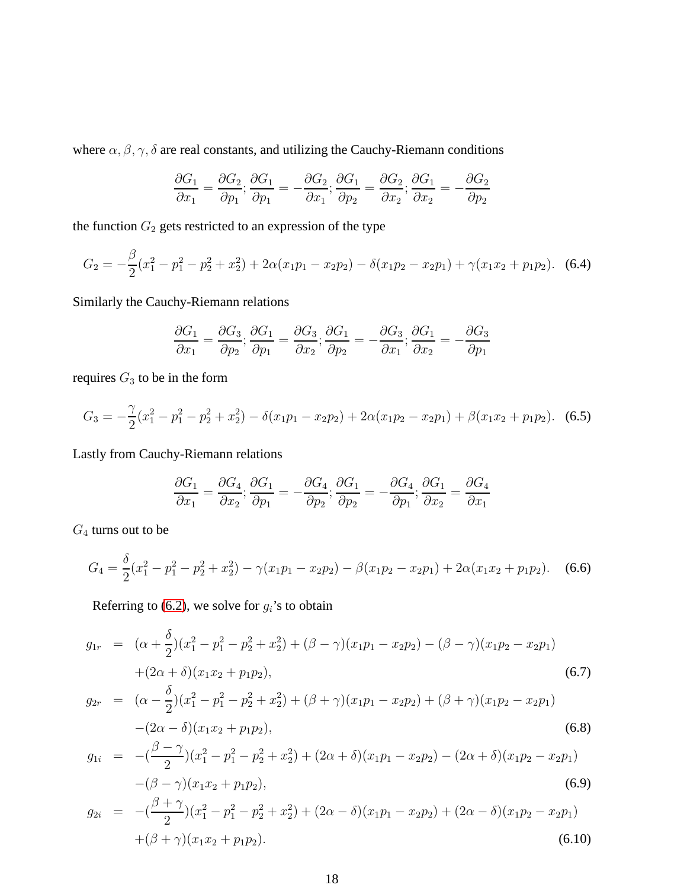where  $\alpha, \beta, \gamma, \delta$  are real constants, and utilizing the Cauchy-Riemann conditions

$$
\frac{\partial G_1}{\partial x_1} = \frac{\partial G_2}{\partial p_1}; \frac{\partial G_1}{\partial p_1} = -\frac{\partial G_2}{\partial x_1}; \frac{\partial G_1}{\partial p_2} = \frac{\partial G_2}{\partial x_2}; \frac{\partial G_1}{\partial x_2} = -\frac{\partial G_2}{\partial p_2}
$$

the function  $G_2$  gets restricted to an expression of the type

$$
G_2 = -\frac{\beta}{2}(x_1^2 - p_1^2 - p_2^2 + x_2^2) + 2\alpha(x_1p_1 - x_2p_2) - \delta(x_1p_2 - x_2p_1) + \gamma(x_1x_2 + p_1p_2). \tag{6.4}
$$

Similarly the Cauchy-Riemann relations

$$
\frac{\partial G_1}{\partial x_1} = \frac{\partial G_3}{\partial p_2}; \frac{\partial G_1}{\partial p_1} = \frac{\partial G_3}{\partial x_2}; \frac{\partial G_1}{\partial p_2} = -\frac{\partial G_3}{\partial x_1}; \frac{\partial G_1}{\partial x_2} = -\frac{\partial G_3}{\partial p_1}
$$

requires  $G_3$  to be in the form

$$
G_3 = -\frac{\gamma}{2}(x_1^2 - p_1^2 - p_2^2 + x_2^2) - \delta(x_1 p_1 - x_2 p_2) + 2\alpha(x_1 p_2 - x_2 p_1) + \beta(x_1 x_2 + p_1 p_2). \tag{6.5}
$$

Lastly from Cauchy-Riemann relations

$$
\frac{\partial G_1}{\partial x_1} = \frac{\partial G_4}{\partial x_2}; \frac{\partial G_1}{\partial p_1} = -\frac{\partial G_4}{\partial p_2}; \frac{\partial G_1}{\partial p_2} = -\frac{\partial G_4}{\partial p_1}; \frac{\partial G_1}{\partial x_2} = \frac{\partial G_4}{\partial x_1}
$$

 $G_4$  turns out to be

$$
G_4 = \frac{\delta}{2}(x_1^2 - p_1^2 - p_2^2 + x_2^2) - \gamma(x_1 p_1 - x_2 p_2) - \beta(x_1 p_2 - x_2 p_1) + 2\alpha(x_1 x_2 + p_1 p_2). \tag{6.6}
$$

Referring to [\(6.2\)](#page-16-1), we solve for  $g_i$ 's to obtain

$$
g_{1r} = (\alpha + \frac{\delta}{2})(x_1^2 - p_1^2 - p_2^2 + x_2^2) + (\beta - \gamma)(x_1p_1 - x_2p_2) - (\beta - \gamma)(x_1p_2 - x_2p_1)
$$
  
+  $(2\alpha + \delta)(x_1x_2 + p_1p_2),$   

$$
g_{2r} = (\alpha - \frac{\delta}{2})(x_1^2 - p_1^2 - p_2^2 + x_2^2) + (\beta + \gamma)(x_1p_1 - x_2p_2) + (\beta + \gamma)(x_1p_2 - x_2p_1)
$$
  

$$
- (2\alpha - \delta)(x_1x_2 + p_1p_2),
$$
  

$$
g_{1i} = -(\frac{\beta - \gamma}{2})(x_1^2 - p_1^2 - p_2^2 + x_2^2) + (2\alpha + \delta)(x_1p_1 - x_2p_2) - (2\alpha + \delta)(x_1p_2 - x_2p_1)
$$
  

$$
- (\beta - \gamma)(x_1x_2 + p_1p_2),
$$
  

$$
g_{2i} = -(\frac{\beta + \gamma}{2})(x_1^2 - p_1^2 - p_2^2 + x_2^2) + (2\alpha - \delta)(x_1p_1 - x_2p_2) + (2\alpha - \delta)(x_1p_2 - x_2p_1)
$$
  

$$
+ (\beta + \gamma)(x_1x_2 + p_1p_2).
$$
  
(6.10)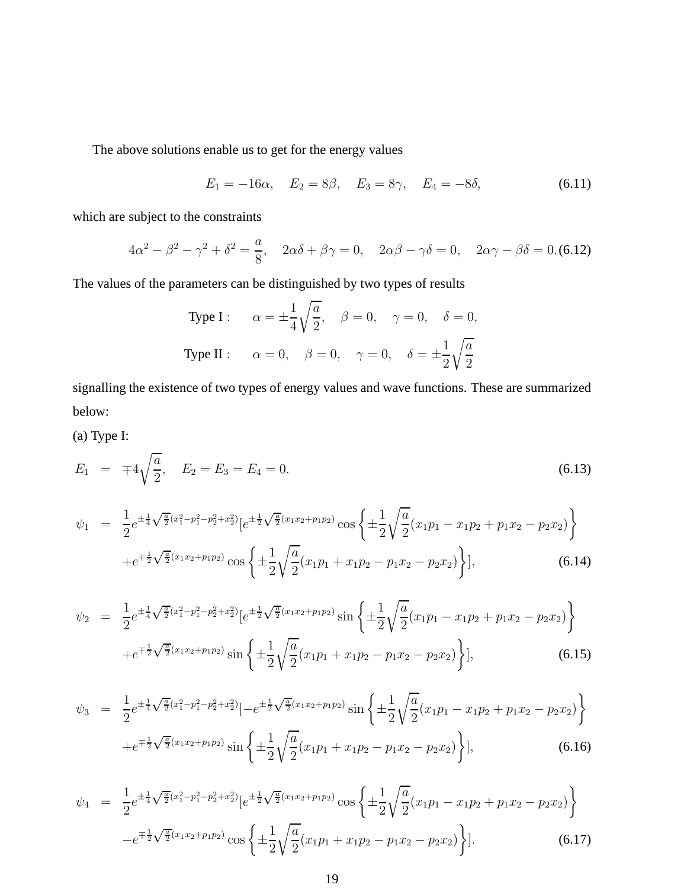The above solutions enable us to get for the energy values

$$
E_1 = -16\alpha, \quad E_2 = 8\beta, \quad E_3 = 8\gamma, \quad E_4 = -8\delta,
$$
 (6.11)

which are subject to the constraints

$$
4\alpha^2 - \beta^2 - \gamma^2 + \delta^2 = \frac{a}{8}, \quad 2\alpha\delta + \beta\gamma = 0, \quad 2\alpha\beta - \gamma\delta = 0, \quad 2\alpha\gamma - \beta\delta = 0. \text{(6.12)}
$$

The values of the parameters can be distinguished by two types of results

Type I : 
$$
\alpha = \pm \frac{1}{4} \sqrt{\frac{a}{2}}
$$
,  $\beta = 0$ ,  $\gamma = 0$ ,  $\delta = 0$ ,  
Type II :  $\alpha = 0$ ,  $\beta = 0$ ,  $\gamma = 0$ ,  $\delta = \pm \frac{1}{2} \sqrt{\frac{a}{2}}$ 

signalling the existence of two types of energy values and wave functions. These are summarized below:

(a) Type I:

<span id="page-18-0"></span>
$$
E_1 = \mp 4\sqrt{\frac{a}{2}}, \quad E_2 = E_3 = E_4 = 0. \tag{6.13}
$$

$$
\psi_1 = \frac{1}{2} e^{\pm \frac{1}{4} \sqrt{\frac{a}{2}} (x_1^2 - p_1^2 - p_2^2 + x_2^2)} \left[ e^{\pm \frac{1}{2} \sqrt{\frac{a}{2}} (x_1 x_2 + p_1 p_2)} \cos \left\{ \pm \frac{1}{2} \sqrt{\frac{a}{2}} (x_1 p_1 - x_1 p_2 + p_1 x_2 - p_2 x_2) \right\} + e^{\mp \frac{1}{2} \sqrt{\frac{a}{2}} (x_1 x_2 + p_1 p_2)} \cos \left\{ \pm \frac{1}{2} \sqrt{\frac{a}{2}} (x_1 p_1 + x_1 p_2 - p_1 x_2 - p_2 x_2) \right\} \right],
$$
\n(6.14)

$$
\psi_2 = \frac{1}{2} e^{\pm \frac{1}{4} \sqrt{\frac{a}{2}} (x_1^2 - p_1^2 - p_2^2 + x_2^2)} \left[ e^{\pm \frac{1}{2} \sqrt{\frac{a}{2}} (x_1 x_2 + p_1 p_2)} \sin \left\{ \pm \frac{1}{2} \sqrt{\frac{a}{2}} (x_1 p_1 - x_1 p_2 + p_1 x_2 - p_2 x_2) \right\} + e^{\mp \frac{1}{2} \sqrt{\frac{a}{2}} (x_1 x_2 + p_1 p_2)} \sin \left\{ \pm \frac{1}{2} \sqrt{\frac{a}{2}} (x_1 p_1 + x_1 p_2 - p_1 x_2 - p_2 x_2) \right\} \right],
$$
\n(6.15)

$$
\psi_3 = \frac{1}{2} e^{\pm \frac{1}{4} \sqrt{\frac{a}{2}} (x_1^2 - p_1^2 - p_2^2 + x_2^2)} \left[ -e^{\pm \frac{1}{2} \sqrt{\frac{a}{2}} (x_1 x_2 + p_1 p_2)} \sin \left\{ \pm \frac{1}{2} \sqrt{\frac{a}{2}} (x_1 p_1 - x_1 p_2 + p_1 x_2 - p_2 x_2) \right\} + e^{\mp \frac{1}{2} \sqrt{\frac{a}{2}} (x_1 x_2 + p_1 p_2)} \sin \left\{ \pm \frac{1}{2} \sqrt{\frac{a}{2}} (x_1 p_1 + x_1 p_2 - p_1 x_2 - p_2 x_2) \right\} \right],
$$
\n(6.16)

$$
\psi_4 = \frac{1}{2} e^{\pm \frac{1}{4} \sqrt{\frac{a}{2}} (x_1^2 - p_1^2 - p_2^2 + x_2^2)} \left[ e^{\pm \frac{1}{2} \sqrt{\frac{a}{2}} (x_1 x_2 + p_1 p_2)} \cos \left\{ \pm \frac{1}{2} \sqrt{\frac{a}{2}} (x_1 p_1 - x_1 p_2 + p_1 x_2 - p_2 x_2) \right\} - e^{\mp \frac{1}{2} \sqrt{\frac{a}{2}} (x_1 x_2 + p_1 p_2)} \cos \left\{ \pm \frac{1}{2} \sqrt{\frac{a}{2}} (x_1 p_1 + x_1 p_2 - p_1 x_2 - p_2 x_2) \right\} \right].
$$
\n(6.17)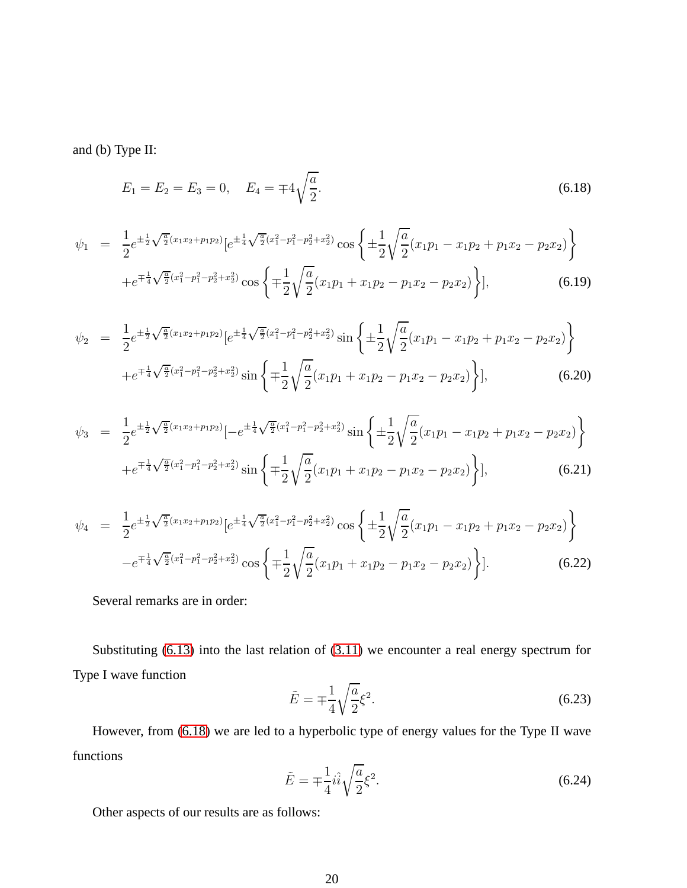<span id="page-19-0"></span>and (b) Type II:

$$
E_1 = E_2 = E_3 = 0, \quad E_4 = \pm 4\sqrt{\frac{a}{2}}.\tag{6.18}
$$

$$
\psi_1 = \frac{1}{2} e^{\pm \frac{1}{2} \sqrt{\frac{a}{2}} (x_1 x_2 + p_1 p_2)} \left[ e^{\pm \frac{1}{4} \sqrt{\frac{a}{2}} (x_1^2 - p_1^2 - p_2^2 + x_2^2)} \cos \left\{ \pm \frac{1}{2} \sqrt{\frac{a}{2}} (x_1 p_1 - x_1 p_2 + p_1 x_2 - p_2 x_2) \right\} + e^{\mp \frac{1}{4} \sqrt{\frac{a}{2}} (x_1^2 - p_1^2 - p_2^2 + x_2^2)} \cos \left\{ \mp \frac{1}{2} \sqrt{\frac{a}{2}} (x_1 p_1 + x_1 p_2 - p_1 x_2 - p_2 x_2) \right\} \right],
$$
\n(6.19)

$$
\psi_2 = \frac{1}{2} e^{\pm \frac{1}{2} \sqrt{\frac{a}{2}} (x_1 x_2 + p_1 p_2)} \left[ e^{\pm \frac{1}{4} \sqrt{\frac{a}{2}} (x_1^2 - p_1^2 - p_2^2 + x_2^2)} \sin \left\{ \pm \frac{1}{2} \sqrt{\frac{a}{2}} (x_1 p_1 - x_1 p_2 + p_1 x_2 - p_2 x_2) \right\} + e^{\mp \frac{1}{4} \sqrt{\frac{a}{2}} (x_1^2 - p_1^2 - p_2^2 + x_2^2)} \sin \left\{ \mp \frac{1}{2} \sqrt{\frac{a}{2}} (x_1 p_1 + x_1 p_2 - p_1 x_2 - p_2 x_2) \right\} \right],
$$
(6.20)

$$
\psi_3 = \frac{1}{2} e^{\pm \frac{1}{2} \sqrt{\frac{a}{2}} (x_1 x_2 + p_1 p_2)} \left[ -e^{\pm \frac{1}{4} \sqrt{\frac{a}{2}} (x_1^2 - p_1^2 - p_2^2 + x_2^2)} \sin \left\{ \pm \frac{1}{2} \sqrt{\frac{a}{2}} (x_1 p_1 - x_1 p_2 + p_1 x_2 - p_2 x_2) \right\} + e^{\mp \frac{1}{4} \sqrt{\frac{a}{2}} (x_1^2 - p_1^2 - p_2^2 + x_2^2)} \sin \left\{ \mp \frac{1}{2} \sqrt{\frac{a}{2}} (x_1 p_1 + x_1 p_2 - p_1 x_2 - p_2 x_2) \right\} \right],
$$
(6.21)

$$
\psi_4 = \frac{1}{2} e^{\pm \frac{1}{2} \sqrt{\frac{a}{2}} (x_1 x_2 + p_1 p_2)} \left[ e^{\pm \frac{1}{4} \sqrt{\frac{a}{2}} (x_1^2 - p_1^2 - p_2^2 + x_2^2)} \cos \left\{ \pm \frac{1}{2} \sqrt{\frac{a}{2}} (x_1 p_1 - x_1 p_2 + p_1 x_2 - p_2 x_2) \right\} - e^{\mp \frac{1}{4} \sqrt{\frac{a}{2}} (x_1^2 - p_1^2 - p_2^2 + x_2^2)} \cos \left\{ \mp \frac{1}{2} \sqrt{\frac{a}{2}} (x_1 p_1 + x_1 p_2 - p_1 x_2 - p_2 x_2) \right\} \right].
$$
\n(6.22)

Several remarks are in order:

Substituting [\(6.13\)](#page-18-0) into the last relation of [\(3.11\)](#page-8-2) we encounter a real energy spectrum for Type I wave function

$$
\tilde{E} = \mp \frac{1}{4} \sqrt{\frac{a}{2}} \xi^2.
$$
\n
$$
(6.23)
$$

However, from [\(6.18\)](#page-19-0) we are led to a hyperbolic type of energy values for the Type II wave functions

$$
\tilde{E} = \mp \frac{1}{4} i \hat{i} \sqrt{\frac{a}{2}} \xi^2.
$$
\n
$$
(6.24)
$$

Other aspects of our results are as follows: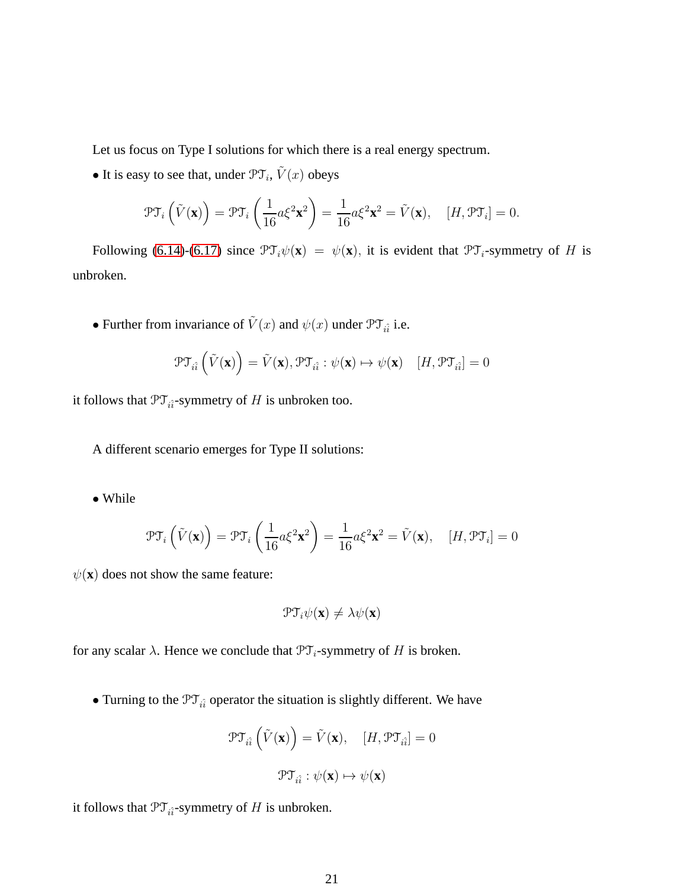Let us focus on Type I solutions for which there is a real energy spectrum.

• It is easy to see that, under  $\mathcal{PT}_i$ ,  $\tilde{V}(x)$  obeys

$$
\mathcal{PT}_i\left(\tilde{V}(\mathbf{x})\right) = \mathcal{PT}_i\left(\frac{1}{16}a\xi^2\mathbf{x}^2\right) = \frac{1}{16}a\xi^2\mathbf{x}^2 = \tilde{V}(\mathbf{x}), \quad [H, \mathcal{PT}_i] = 0.
$$

Following [\(6.14\)](#page-18-0)-[\(6.17\)](#page-18-0) since  $\mathcal{PT}_{i}\psi(\mathbf{x}) = \psi(\mathbf{x})$ , it is evident that  $\mathcal{PT}_{i}$ -symmetry of H is unbroken.

• Further from invariance of  $\tilde{V}(x)$  and  $\psi(x)$  under  $\mathcal{PT}_{i\hat{i}}$  i.e.

$$
\mathcal{PT}_{i\hat{i}}\left(\tilde{V}(\mathbf{x})\right) = \tilde{V}(\mathbf{x}), \mathcal{PT}_{i\hat{i}}: \psi(\mathbf{x}) \mapsto \psi(\mathbf{x}) \quad [H, \mathcal{PT}_{i\hat{i}}] = 0
$$

it follows that  $\mathfrak{PT}_{i\hat{i}}$ -symmetry of H is unbroken too.

A different scenario emerges for Type II solutions:

• While

$$
\mathcal{PT}_i\left(\tilde{V}(\mathbf{x})\right) = \mathcal{PT}_i\left(\frac{1}{16}a\xi^2\mathbf{x}^2\right) = \frac{1}{16}a\xi^2\mathbf{x}^2 = \tilde{V}(\mathbf{x}), \quad [H, \mathcal{PT}_i] = 0
$$

 $\psi(\mathbf{x})$  does not show the same feature:

$$
\mathfrak{PT}_i\psi(\mathbf{x})\neq\lambda\psi(\mathbf{x})
$$

for any scalar  $\lambda$ . Hence we conclude that  $\mathfrak{PT}_i$ -symmetry of H is broken.

• Turning to the  $\mathcal{PT}_{i\hat{i}}$  operator the situation is slightly different. We have

$$
\mathcal{PT}_{i\hat{i}}\left(\tilde{V}(\mathbf{x})\right) = \tilde{V}(\mathbf{x}), \quad [H, \mathcal{PT}_{i\hat{i}}] = 0
$$

$$
\mathcal{PT}_{i\hat{i}} : \psi(\mathbf{x}) \mapsto \psi(\mathbf{x})
$$

it follows that  $\mathfrak{PT}_{i\hat{i}}$ -symmetry of H is unbroken.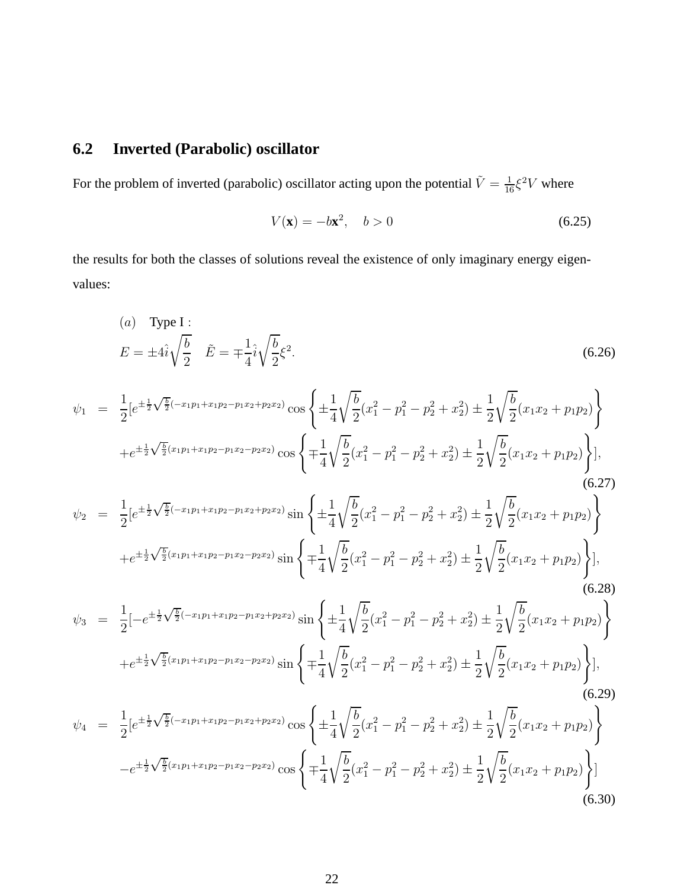## **6.2 Inverted (Parabolic) oscillator**

For the problem of inverted (parabolic) oscillator acting upon the potential  $\tilde{V} = \frac{1}{16} \xi^2 V$  where

$$
V(\mathbf{x}) = -b\mathbf{x}^2, \quad b > 0
$$
 (6.25)

the results for both the classes of solutions reveal the existence of only imaginary energy eigenvalues:

(a) Type I :  
\n
$$
E = \pm 4\hat{i}\sqrt{\frac{b}{2}} \quad \tilde{E} = \mp \frac{1}{4}\hat{i}\sqrt{\frac{b}{2}}\xi^2.
$$
\n(6.26)

$$
\psi_1 = \frac{1}{2} \left[ e^{\pm \frac{1}{2} \sqrt{\frac{b}{2}} (-x_1 p_1 + x_1 p_2 - p_1 x_2 + p_2 x_2)} \cos \left\{ \pm \frac{1}{4} \sqrt{\frac{b}{2}} (x_1^2 - p_1^2 - p_2^2 + x_2^2) \pm \frac{1}{2} \sqrt{\frac{b}{2}} (x_1 x_2 + p_1 p_2) \right\} + e^{\pm \frac{1}{2} \sqrt{\frac{b}{2}} (x_1 p_1 + x_1 p_2 - p_1 x_2 - p_2 x_2)} \cos \left\{ \mp \frac{1}{4} \sqrt{\frac{b}{2}} (x_1^2 - p_1^2 - p_2^2 + x_2^2) \pm \frac{1}{2} \sqrt{\frac{b}{2}} (x_1 x_2 + p_1 p_2) \right\} \right],
$$
\n(6.27)

$$
\psi_2 = \frac{1}{2} \left[ e^{\pm \frac{1}{2} \sqrt{\frac{b}{2}} (-x_1 p_1 + x_1 p_2 - p_1 x_2 + p_2 x_2)} \sin \left\{ \pm \frac{1}{4} \sqrt{\frac{b}{2}} (x_1^2 - p_1^2 - p_2^2 + x_2^2) \pm \frac{1}{2} \sqrt{\frac{b}{2}} (x_1 x_2 + p_1 p_2) \right\} + e^{\pm \frac{1}{2} \sqrt{\frac{b}{2}} (x_1 p_1 + x_1 p_2 - p_1 x_2 - p_2 x_2)} \sin \left\{ \mp \frac{1}{4} \sqrt{\frac{b}{2}} (x_1^2 - p_1^2 - p_2^2 + x_2^2) \pm \frac{1}{2} \sqrt{\frac{b}{2}} (x_1 x_2 + p_1 p_2) \right\} \right],
$$
\n(6.28)

$$
\psi_3 = \frac{1}{2} \left[ -e^{\pm \frac{1}{2}\sqrt{\frac{b}{2}}(-x_1 p_1 + x_1 p_2 - p_1 x_2 + p_2 x_2)} \sin \left\{ \pm \frac{1}{4} \sqrt{\frac{b}{2}} (x_1^2 - p_1^2 - p_2^2 + x_2^2) \pm \frac{1}{2} \sqrt{\frac{b}{2}} (x_1 x_2 + p_1 p_2) \right\} + e^{\pm \frac{1}{2}\sqrt{\frac{b}{2}}(x_1 p_1 + x_1 p_2 - p_1 x_2 - p_2 x_2)} \sin \left\{ \mp \frac{1}{4} \sqrt{\frac{b}{2}} (x_1^2 - p_1^2 - p_2^2 + x_2^2) \pm \frac{1}{2} \sqrt{\frac{b}{2}} (x_1 x_2 + p_1 p_2) \right\},\tag{6.29}
$$

$$
\psi_4 = \frac{1}{2} \left[ e^{\pm \frac{1}{2} \sqrt{\frac{b}{2}} (-x_1 p_1 + x_1 p_2 - p_1 x_2 + p_2 x_2)} \cos \left\{ \pm \frac{1}{4} \sqrt{\frac{b}{2}} (x_1^2 - p_1^2 - p_2^2 + x_2^2) \pm \frac{1}{2} \sqrt{\frac{b}{2}} (x_1 x_2 + p_1 p_2) \right\} - e^{\pm \frac{1}{2} \sqrt{\frac{b}{2}} (x_1 p_1 + x_1 p_2 - p_1 x_2 - p_2 x_2)} \cos \left\{ \mp \frac{1}{4} \sqrt{\frac{b}{2}} (x_1^2 - p_1^2 - p_2^2 + x_2^2) \pm \frac{1}{2} \sqrt{\frac{b}{2}} (x_1 x_2 + p_1 p_2) \right\} \right]
$$
(6.30)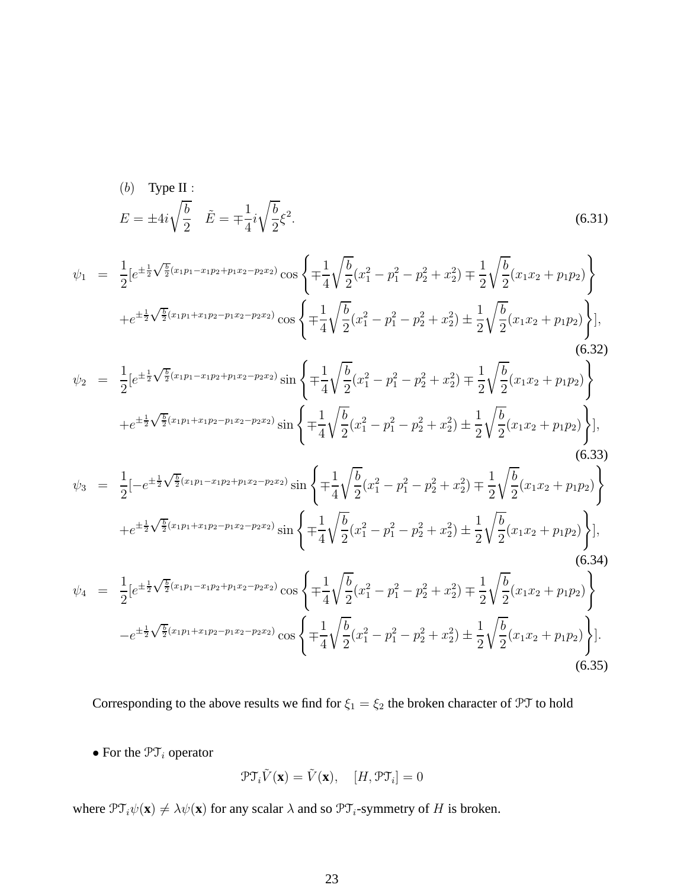(b) Type II :  
\n
$$
E = \pm 4i\sqrt{\frac{b}{2}} \quad \tilde{E} = \mp \frac{1}{4}i\sqrt{\frac{b}{2}}\xi^2.
$$
\n(6.31)

$$
\psi_1 = \frac{1}{2} \left[ e^{\pm \frac{1}{2} \sqrt{\frac{b}{2}} (x_1 p_1 - x_1 p_2 + p_1 x_2 - p_2 x_2)} \cos \left\{ \mp \frac{1}{4} \sqrt{\frac{b}{2}} (x_1^2 - p_1^2 - p_2^2 + x_2^2) \mp \frac{1}{2} \sqrt{\frac{b}{2}} (x_1 x_2 + p_1 p_2) \right\} + e^{\pm \frac{1}{2} \sqrt{\frac{b}{2}} (x_1 p_1 + x_1 p_2 - p_1 x_2 - p_2 x_2)} \cos \left\{ \mp \frac{1}{4} \sqrt{\frac{b}{2}} (x_1^2 - p_1^2 - p_2^2 + x_2^2) \pm \frac{1}{2} \sqrt{\frac{b}{2}} (x_1 x_2 + p_1 p_2) \right\} \right],
$$
\n(6.32)

$$
\psi_2 = \frac{1}{2} \left[ e^{\pm \frac{1}{2} \sqrt{\frac{b}{2}} (x_1 p_1 - x_1 p_2 + p_1 x_2 - p_2 x_2)} \sin \left\{ \mp \frac{1}{4} \sqrt{\frac{b}{2}} (x_1^2 - p_1^2 - p_2^2 + x_2^2) \mp \frac{1}{2} \sqrt{\frac{b}{2}} (x_1 x_2 + p_1 p_2) \right\} + e^{\pm \frac{1}{2} \sqrt{\frac{b}{2}} (x_1 p_1 + x_1 p_2 - p_1 x_2 - p_2 x_2)} \sin \left\{ \mp \frac{1}{4} \sqrt{\frac{b}{2}} (x_1^2 - p_1^2 - p_2^2 + x_2^2) \pm \frac{1}{2} \sqrt{\frac{b}{2}} (x_1 x_2 + p_1 p_2) \right\} \right],
$$
\n(6.33)

$$
\psi_3 = \frac{1}{2} \left[ -e^{\pm \frac{1}{2} \sqrt{\frac{b}{2}} (x_1 p_1 - x_1 p_2 + p_1 x_2 - p_2 x_2)} \sin \left\{ \mp \frac{1}{4} \sqrt{\frac{b}{2}} (x_1^2 - p_1^2 - p_2^2 + x_2^2) \mp \frac{1}{2} \sqrt{\frac{b}{2}} (x_1 x_2 + p_1 p_2) \right\} + e^{\pm \frac{1}{2} \sqrt{\frac{b}{2}} (x_1 p_1 + x_1 p_2 - p_1 x_2 - p_2 x_2)} \sin \left\{ \mp \frac{1}{4} \sqrt{\frac{b}{2}} (x_1^2 - p_1^2 - p_2^2 + x_2^2) \pm \frac{1}{2} \sqrt{\frac{b}{2}} (x_1 x_2 + p_1 p_2) \right\} \right],
$$
\n
$$
\psi_4 = \frac{1}{2} \left[ e^{\pm \frac{1}{2} \sqrt{\frac{b}{2}} (x_1 p_1 - x_1 p_2 + p_1 x_2 - p_2 x_2)} \cos \left\{ \mp \frac{1}{4} \sqrt{\frac{b}{2}} (x_1^2 - p_1^2 - p_2^2 + x_2^2) \mp \frac{1}{2} \sqrt{\frac{b}{2}} (x_1 x_2 + p_1 p_2) \right\} \right]
$$
\n(6.34)

$$
\psi_4 = \frac{1}{2} \left[ e^{\pm \frac{1}{2} \sqrt{\frac{b}{2}} (x_1 p_1 - x_1 p_2 + p_1 x_2 - p_2 x_2)} \cos \left\{ \mp \frac{1}{4} \sqrt{\frac{b}{2}} (x_1^2 - p_1^2 - p_2^2 + x_2^2) \mp \frac{1}{2} \sqrt{\frac{b}{2}} (x_1 x_2 + p_1 p_2) \right\} - e^{\pm \frac{1}{2} \sqrt{\frac{b}{2}} (x_1 p_1 + x_1 p_2 - p_1 x_2 - p_2 x_2)} \cos \left\{ \mp \frac{1}{4} \sqrt{\frac{b}{2}} (x_1^2 - p_1^2 - p_2^2 + x_2^2) \pm \frac{1}{2} \sqrt{\frac{b}{2}} (x_1 x_2 + p_1 p_2) \right\} \right].
$$
\n(6.35)

Corresponding to the above results we find for  $\xi_1 = \xi_2$  the broken character of PT to hold

 $\bullet$  For the  $\ensuremath{\mathcal{PT}}\xspace_i$  operator

$$
\mathcal{PT}_i \tilde{V}(\mathbf{x}) = \tilde{V}(\mathbf{x}), \quad [H, \mathcal{PT}_i] = 0
$$

where  $\mathcal{PT}_{i}\psi(\mathbf{x}) \neq \lambda\psi(\mathbf{x})$  for any scalar  $\lambda$  and so  $\mathcal{PT}_{i}$ -symmetry of H is broken.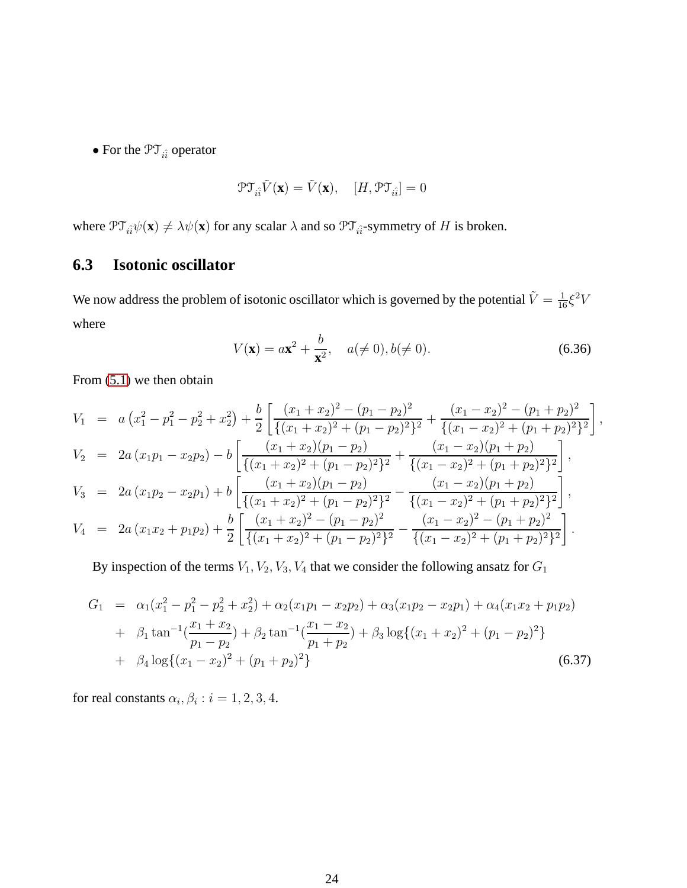• For the  $\mathfrak{PT}_{i\hat{i}}$  operator

$$
\mathfrak{PT}_{\hat{i}\hat{i}}\tilde{V}(\mathbf{x}) = \tilde{V}(\mathbf{x}), \quad [H, \mathfrak{PT}_{\hat{i}\hat{i}}] = 0
$$

where  $\mathcal{PT}_{\hat{i}\hat{i}}\psi(\mathbf{x}) \neq \lambda\psi(\mathbf{x})$  for any scalar  $\lambda$  and so  $\mathcal{PT}_{\hat{i}\hat{i}}$ -symmetry of H is broken.

### **6.3 Isotonic oscillator**

We now address the problem of isotonic oscillator which is governed by the potential  $\tilde{V} = \frac{1}{16} \xi^2 V$ where

$$
V(\mathbf{x}) = a\mathbf{x}^2 + \frac{b}{\mathbf{x}^2}, \quad a(\neq 0), b(\neq 0).
$$
 (6.36)

From [\(5.1\)](#page-11-0) we then obtain

$$
V_1 = a (x_1^2 - p_1^2 - p_2^2 + x_2^2) + \frac{b}{2} \left[ \frac{(x_1 + x_2)^2 - (p_1 - p_2)^2}{\{(x_1 + x_2)^2 + (p_1 - p_2)^2\}^2} + \frac{(x_1 - x_2)^2 - (p_1 + p_2)^2}{\{(x_1 - x_2)^2 + (p_1 + p_2)^2\}^2} \right],
$$
  
\n
$$
V_2 = 2a (x_1p_1 - x_2p_2) - b \left[ \frac{(x_1 + x_2)(p_1 - p_2)}{\{(x_1 + x_2)^2 + (p_1 - p_2)^2\}^2} + \frac{(x_1 - x_2)(p_1 + p_2)}{\{(x_1 - x_2)^2 + (p_1 + p_2)^2\}^2} \right],
$$
  
\n
$$
V_3 = 2a (x_1p_2 - x_2p_1) + b \left[ \frac{(x_1 + x_2)(p_1 - p_2)}{\{(x_1 + x_2)^2 + (p_1 - p_2)^2\}^2} - \frac{(x_1 - x_2)(p_1 + p_2)}{\{(x_1 - x_2)^2 + (p_1 + p_2)^2\}^2} \right],
$$
  
\n
$$
V_4 = 2a (x_1x_2 + p_1p_2) + \frac{b}{2} \left[ \frac{(x_1 + x_2)^2 - (p_1 - p_2)^2}{\{(x_1 + x_2)^2 + (p_1 - p_2)^2\}^2} - \frac{(x_1 - x_2)^2 - (p_1 + p_2)^2}{\{(x_1 - x_2)^2 + (p_1 + p_2)^2\}^2} \right].
$$

By inspection of the terms  $V_1$ ,  $V_2$ ,  $V_3$ ,  $V_4$  that we consider the following ansatz for  $G_1$ 

$$
G_1 = \alpha_1(x_1^2 - p_1^2 - p_2^2 + x_2^2) + \alpha_2(x_1p_1 - x_2p_2) + \alpha_3(x_1p_2 - x_2p_1) + \alpha_4(x_1x_2 + p_1p_2)
$$
  
+  $\beta_1 \tan^{-1}(\frac{x_1 + x_2}{p_1 - p_2}) + \beta_2 \tan^{-1}(\frac{x_1 - x_2}{p_1 + p_2}) + \beta_3 \log\{(x_1 + x_2)^2 + (p_1 - p_2)^2\}$   
+  $\beta_4 \log\{(x_1 - x_2)^2 + (p_1 + p_2)^2\}$  (6.37)

for real constants  $\alpha_i, \beta_i : i = 1, 2, 3, 4$ .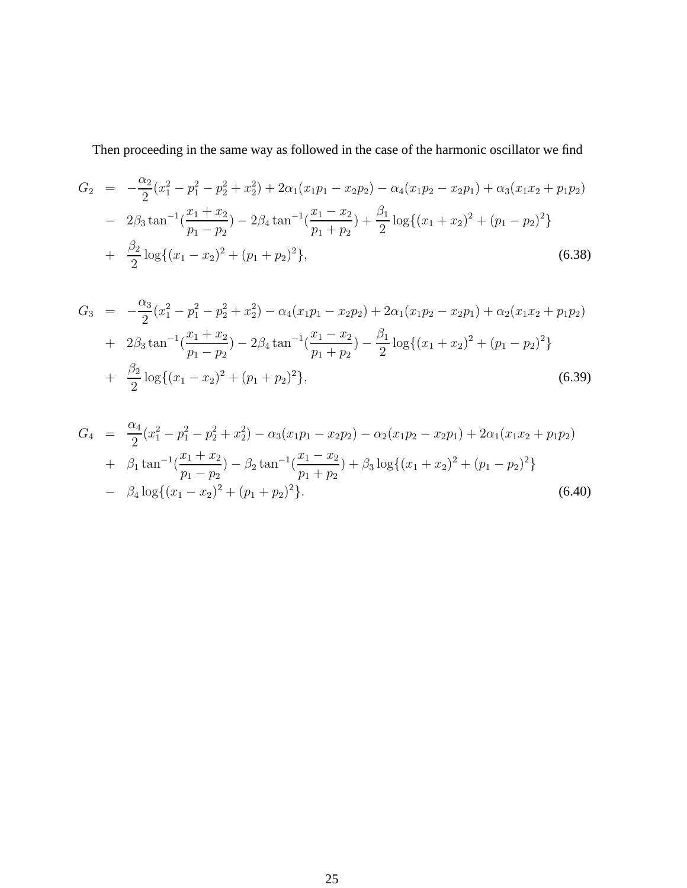Then proceeding in the same way as followed in the case of the harmonic oscillator we find

$$
G_2 = -\frac{\alpha_2}{2}(x_1^2 - p_1^2 - p_2^2 + x_2^2) + 2\alpha_1(x_1p_1 - x_2p_2) - \alpha_4(x_1p_2 - x_2p_1) + \alpha_3(x_1x_2 + p_1p_2)
$$
  
-  $2\beta_3 \tan^{-1}(\frac{x_1 + x_2}{p_1 - p_2}) - 2\beta_4 \tan^{-1}(\frac{x_1 - x_2}{p_1 + p_2}) + \frac{\beta_1}{2}\log\{(x_1 + x_2)^2 + (p_1 - p_2)^2\}$   
+  $\frac{\beta_2}{2}\log\{(x_1 - x_2)^2 + (p_1 + p_2)^2\},$  (6.38)

$$
G_3 = -\frac{\alpha_3}{2}(x_1^2 - p_1^2 - p_2^2 + x_2^2) - \alpha_4(x_1p_1 - x_2p_2) + 2\alpha_1(x_1p_2 - x_2p_1) + \alpha_2(x_1x_2 + p_1p_2)
$$
  
+  $2\beta_3 \tan^{-1}(\frac{x_1 + x_2}{p_1 - p_2}) - 2\beta_4 \tan^{-1}(\frac{x_1 - x_2}{p_1 + p_2}) - \frac{\beta_1}{2}\log\{(x_1 + x_2)^2 + (p_1 - p_2)^2\}$   
+  $\frac{\beta_2}{2}\log\{(x_1 - x_2)^2 + (p_1 + p_2)^2\},$  (6.39)

$$
G_4 = \frac{\alpha_4}{2} (x_1^2 - p_1^2 - p_2^2 + x_2^2) - \alpha_3 (x_1 p_1 - x_2 p_2) - \alpha_2 (x_1 p_2 - x_2 p_1) + 2 \alpha_1 (x_1 x_2 + p_1 p_2)
$$
  
+  $\beta_1 \tan^{-1} (\frac{x_1 + x_2}{p_1 - p_2}) - \beta_2 \tan^{-1} (\frac{x_1 - x_2}{p_1 + p_2}) + \beta_3 \log \{(x_1 + x_2)^2 + (p_1 - p_2)^2\}$   
-  $\beta_4 \log \{(x_1 - x_2)^2 + (p_1 + p_2)^2\}.$  (6.40)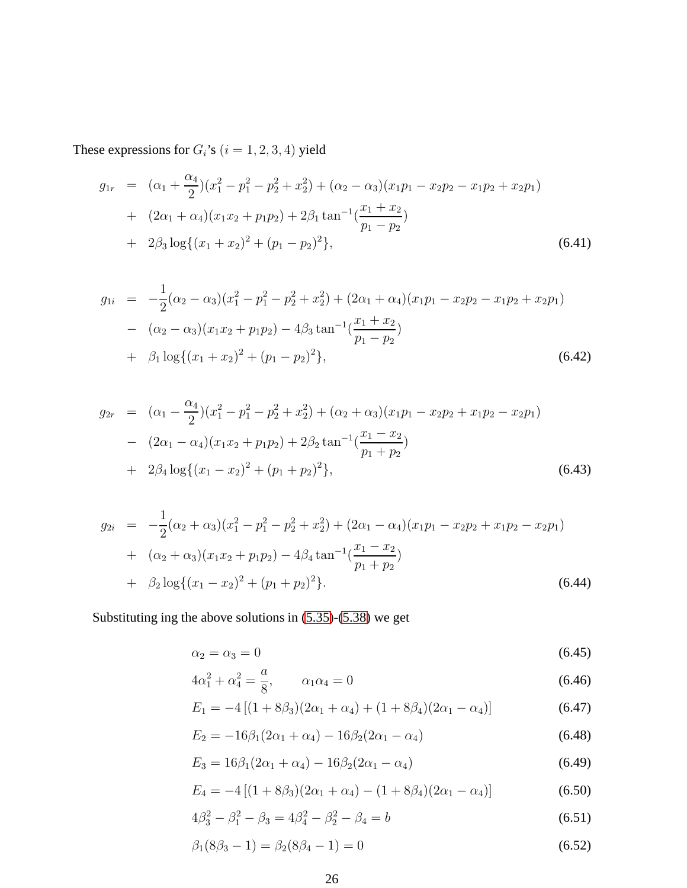These expressions for  $G_i$  's  $(i=1,2,3,4)$  yield

$$
g_{1r} = (\alpha_1 + \frac{\alpha_4}{2})(x_1^2 - p_1^2 - p_2^2 + x_2^2) + (\alpha_2 - \alpha_3)(x_1p_1 - x_2p_2 - x_1p_2 + x_2p_1)
$$
  
+ 
$$
(2\alpha_1 + \alpha_4)(x_1x_2 + p_1p_2) + 2\beta_1 \tan^{-1}(\frac{x_1 + x_2}{p_1 - p_2})
$$
  
+ 
$$
2\beta_3 \log\{(x_1 + x_2)^2 + (p_1 - p_2)^2\},
$$
 (6.41)

$$
g_{1i} = -\frac{1}{2}(\alpha_2 - \alpha_3)(x_1^2 - p_1^2 - p_2^2 + x_2^2) + (2\alpha_1 + \alpha_4)(x_1p_1 - x_2p_2 - x_1p_2 + x_2p_1)
$$
  
-  $(\alpha_2 - \alpha_3)(x_1x_2 + p_1p_2) - 4\beta_3 \tan^{-1}(\frac{x_1 + x_2}{p_1 - p_2})$   
+  $\beta_1 \log\{(x_1 + x_2)^2 + (p_1 - p_2)^2\},$  (6.42)

$$
g_{2r} = (\alpha_1 - \frac{\alpha_4}{2})(x_1^2 - p_1^2 - p_2^2 + x_2^2) + (\alpha_2 + \alpha_3)(x_1p_1 - x_2p_2 + x_1p_2 - x_2p_1)
$$
  
- 
$$
(2\alpha_1 - \alpha_4)(x_1x_2 + p_1p_2) + 2\beta_2 \tan^{-1}(\frac{x_1 - x_2}{p_1 + p_2})
$$
  
+ 
$$
2\beta_4 \log\{(x_1 - x_2)^2 + (p_1 + p_2)^2\},
$$
 (6.43)

$$
g_{2i} = -\frac{1}{2}(\alpha_2 + \alpha_3)(x_1^2 - p_1^2 - p_2^2 + x_2^2) + (2\alpha_1 - \alpha_4)(x_1p_1 - x_2p_2 + x_1p_2 - x_2p_1)
$$
  
+  $(\alpha_2 + \alpha_3)(x_1x_2 + p_1p_2) - 4\beta_4 \tan^{-1}(\frac{x_1 - x_2}{p_1 + p_2})$   
+  $\beta_2 \log\{(x_1 - x_2)^2 + (p_1 + p_2)^2\}.$  (6.44)

Substituting ing the above solutions in [\(5.35\)](#page-15-0)-[\(5.38\)](#page-16-2) we get

$$
\alpha_2 = \alpha_3 = 0 \tag{6.45}
$$

$$
4\alpha_1^2 + \alpha_4^2 = \frac{a}{8}, \qquad \alpha_1 \alpha_4 = 0 \tag{6.46}
$$

$$
E_1 = -4[(1+8\beta_3)(2\alpha_1 + \alpha_4) + (1+8\beta_4)(2\alpha_1 - \alpha_4)]
$$
\n(6.47)

$$
E_2 = -16\beta_1(2\alpha_1 + \alpha_4) - 16\beta_2(2\alpha_1 - \alpha_4)
$$
\n(6.48)

$$
E_3 = 16\beta_1(2\alpha_1 + \alpha_4) - 16\beta_2(2\alpha_1 - \alpha_4)
$$
\n(6.49)

$$
E_4 = -4\left[ (1+8\beta_3)(2\alpha_1 + \alpha_4) - (1+8\beta_4)(2\alpha_1 - \alpha_4) \right]
$$
 (6.50)

$$
4\beta_3^2 - \beta_1^2 - \beta_3 = 4\beta_4^2 - \beta_2^2 - \beta_4 = b \tag{6.51}
$$

$$
\beta_1(8\beta_3 - 1) = \beta_2(8\beta_4 - 1) = 0 \tag{6.52}
$$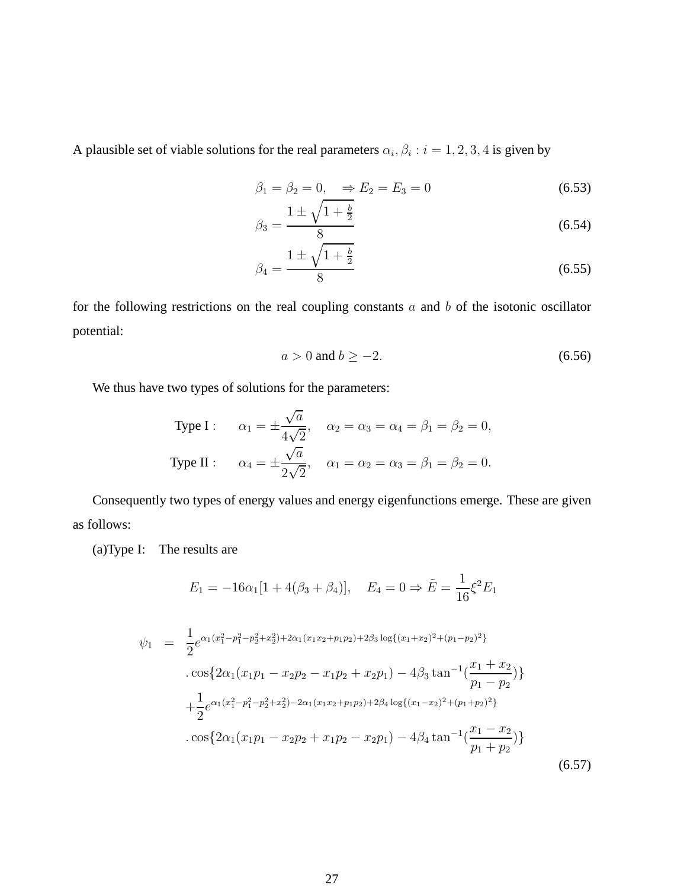A plausible set of viable solutions for the real parameters  $\alpha_i, \beta_i : i = 1, 2, 3, 4$  is given by

$$
\beta_1 = \beta_2 = 0, \Rightarrow E_2 = E_3 = 0 \tag{6.53}
$$

$$
\beta_3 = \frac{1 \pm \sqrt{1 + \frac{b}{2}}}{8} \tag{6.54}
$$

$$
\beta_4 = \frac{1 \pm \sqrt{1 + \frac{b}{2}}}{8} \tag{6.55}
$$

for the following restrictions on the real coupling constants  $a$  and  $b$  of the isotonic oscillator potential:

$$
a > 0 \text{ and } b \ge -2. \tag{6.56}
$$

We thus have two types of solutions for the parameters:

Type I: 
$$
\alpha_1 = \pm \frac{\sqrt{a}}{4\sqrt{2}}, \quad \alpha_2 = \alpha_3 = \alpha_4 = \beta_1 = \beta_2 = 0,
$$
  
Type II:  $\alpha_4 = \pm \frac{\sqrt{a}}{2\sqrt{2}}, \quad \alpha_1 = \alpha_2 = \alpha_3 = \beta_1 = \beta_2 = 0.$ 

Consequently two types of energy values and energy eigenfunctions emerge. These are given as follows:

(a)Type I: The results are

$$
E_1 = -16\alpha_1[1 + 4(\beta_3 + \beta_4)], \quad E_4 = 0 \Rightarrow \tilde{E} = \frac{1}{16}\xi^2 E_1
$$

$$
\psi_1 = \frac{1}{2} e^{\alpha_1 (x_1^2 - p_1^2 - p_2^2 + x_2^2) + 2\alpha_1 (x_1 x_2 + p_1 p_2) + 2\beta_3 \log\{(x_1 + x_2)^2 + (p_1 - p_2)^2\}}
$$
  
. 
$$
\cos\{2\alpha_1 (x_1 p_1 - x_2 p_2 - x_1 p_2 + x_2 p_1) - 4\beta_3 \tan^{-1}(\frac{x_1 + x_2}{p_1 - p_2})\} + \frac{1}{2} e^{\alpha_1 (x_1^2 - p_1^2 - p_2^2 + x_2^2) - 2\alpha_1 (x_1 x_2 + p_1 p_2) + 2\beta_4 \log\{(x_1 - x_2)^2 + (p_1 + p_2)^2\}}
$$
  
. 
$$
\cos\{2\alpha_1 (x_1 p_1 - x_2 p_2 + x_1 p_2 - x_2 p_1) - 4\beta_4 \tan^{-1}(\frac{x_1 - x_2}{p_1 + p_2})\}
$$
(6.57)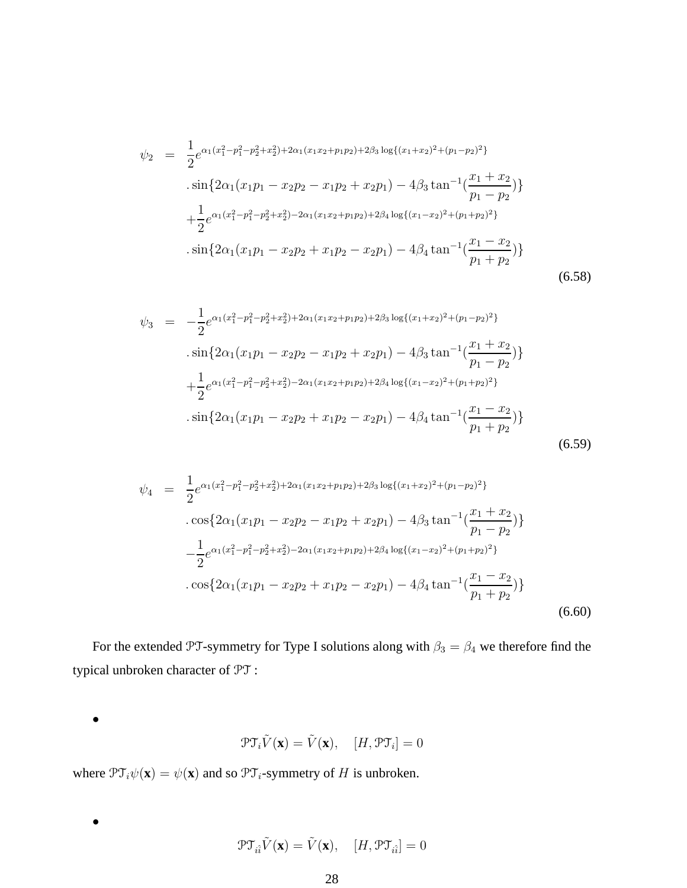$$
\psi_2 = \frac{1}{2} e^{\alpha_1 (x_1^2 - p_1^2 - p_2^2 + x_2^2) + 2\alpha_1 (x_1 x_2 + p_1 p_2) + 2\beta_3 \log\{(x_1 + x_2)^2 + (p_1 - p_2)^2\}}
$$
  
\n
$$
\cdot \sin \{2\alpha_1 (x_1 p_1 - x_2 p_2 - x_1 p_2 + x_2 p_1) - 4\beta_3 \tan^{-1} (\frac{x_1 + x_2}{p_1 - p_2})\}
$$
  
\n
$$
+ \frac{1}{2} e^{\alpha_1 (x_1^2 - p_1^2 - p_2^2 + x_2^2) - 2\alpha_1 (x_1 x_2 + p_1 p_2) + 2\beta_4 \log\{(x_1 - x_2)^2 + (p_1 + p_2)^2\}}
$$
  
\n
$$
\cdot \sin \{2\alpha_1 (x_1 p_1 - x_2 p_2 + x_1 p_2 - x_2 p_1) - 4\beta_4 \tan^{-1} (\frac{x_1 - x_2}{p_1 + p_2})\}
$$
  
\n(6.58)

$$
\psi_3 = -\frac{1}{2} e^{\alpha_1 (x_1^2 - p_1^2 + p_2^2 + x_2^2) + 2\alpha_1 (x_1 x_2 + p_1 p_2) + 2\beta_3 \log\{(x_1 + x_2)^2 + (p_1 - p_2)^2\}}
$$
  
\n
$$
\cdot \sin\{2\alpha_1 (x_1 p_1 - x_2 p_2 - x_1 p_2 + x_2 p_1) - 4\beta_3 \tan^{-1} (\frac{x_1 + x_2}{p_1 - p_2})\}
$$
  
\n
$$
+ \frac{1}{2} e^{\alpha_1 (x_1^2 - p_1^2 - p_2^2 + x_2^2) - 2\alpha_1 (x_1 x_2 + p_1 p_2) + 2\beta_4 \log\{(x_1 - x_2)^2 + (p_1 + p_2)^2\}}
$$
  
\n
$$
\cdot \sin\{2\alpha_1 (x_1 p_1 - x_2 p_2 + x_1 p_2 - x_2 p_1) - 4\beta_4 \tan^{-1} (\frac{x_1 - x_2}{p_1 + p_2})\}
$$
  
\n(6.59)

$$
\psi_4 = \frac{1}{2} e^{\alpha_1 (x_1^2 - p_1^2 - p_2^2 + x_2^2) + 2\alpha_1 (x_1 x_2 + p_1 p_2) + 2\beta_3 \log\{(x_1 + x_2)^2 + (p_1 - p_2)^2\}}
$$
  
. 
$$
\cos\{2\alpha_1 (x_1 p_1 - x_2 p_2 - x_1 p_2 + x_2 p_1) - 4\beta_3 \tan^{-1}(\frac{x_1 + x_2}{p_1 - p_2})\}
$$

$$
-\frac{1}{2} e^{\alpha_1 (x_1^2 - p_1^2 - p_2^2 + x_2^2) - 2\alpha_1 (x_1 x_2 + p_1 p_2) + 2\beta_4 \log\{(x_1 - x_2)^2 + (p_1 + p_2)^2\}}
$$

$$
\cdot \cos\{2\alpha_1 (x_1 p_1 - x_2 p_2 + x_1 p_2 - x_2 p_1) - 4\beta_4 \tan^{-1}(\frac{x_1 - x_2}{p_1 + p_2})\}
$$
(6.60)

For the extended PT-symmetry for Type I solutions along with  $\beta_3 = \beta_4$  we therefore find the typical unbroken character of PT :

$$
\mathcal{PT}_{i}\tilde{V}(\mathbf{x}) = \tilde{V}(\mathbf{x}), \quad [H, \mathcal{PT}_{i}] = 0
$$

where  $\mathcal{PT}_{i}\psi(\mathbf{x}) = \psi(\mathbf{x})$  and so  $\mathcal{PT}_{i}$ -symmetry of H is unbroken.

 $\bullet$ 

•

$$
\mathcal{PT}_{i\hat{i}}\tilde{V}(\mathbf{x}) = \tilde{V}(\mathbf{x}), \quad [H, \mathcal{PT}_{i\hat{i}}] = 0
$$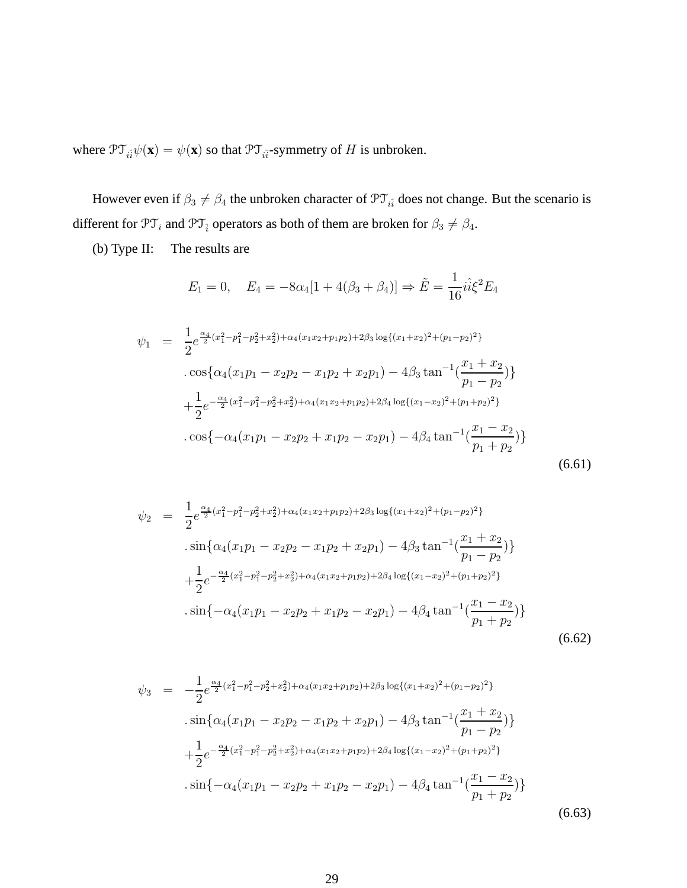where  $\mathcal{PT}_{i\hat{i}}\psi(\mathbf{x}) = \psi(\mathbf{x})$  so that  $\mathcal{PT}_{i\hat{i}}$ -symmetry of H is unbroken.

However even if  $\beta_3 \neq \beta_4$  the unbroken character of  $\mathfrak{PT}_{i\hat{i}}$  does not change. But the scenario is different for  $\mathfrak{PT}_i$  and  $\mathfrak{PT}_i$  operators as both of them are broken for  $\beta_3 \neq \beta_4$ .

(b) Type II: The results are

$$
E_1 = 0, \quad E_4 = -8\alpha_4[1 + 4(\beta_3 + \beta_4)] \Rightarrow \tilde{E} = \frac{1}{16}i\hat{i}\xi^2 E_4
$$

$$
\psi_1 = \frac{1}{2} e^{\frac{\alpha_4}{2} (x_1^2 - p_1^2 - p_2^2 + x_2^2) + \alpha_4 (x_1 x_2 + p_1 p_2) + 2\beta_3 \log\{(x_1 + x_2)^2 + (p_1 - p_2)^2\}} \n\cdot \cos\{\alpha_4 (x_1 p_1 - x_2 p_2 - x_1 p_2 + x_2 p_1) - 4\beta_3 \tan^{-1}(\frac{x_1 + x_2}{p_1 - p_2})\} \n+ \frac{1}{2} e^{-\frac{\alpha_4}{2} (x_1^2 - p_1^2 - p_2^2 + x_2^2) + \alpha_4 (x_1 x_2 + p_1 p_2) + 2\beta_4 \log\{(x_1 - x_2)^2 + (p_1 + p_2)^2\}} \n\cdot \cos\{-\alpha_4 (x_1 p_1 - x_2 p_2 + x_1 p_2 - x_2 p_1) - 4\beta_4 \tan^{-1}(\frac{x_1 - x_2}{p_1 + p_2})\}
$$
\n(6.61)

$$
\psi_2 = \frac{1}{2} e^{\frac{\alpha_4}{2} (x_1^2 - p_1^2 - p_2^2 + x_2^2) + \alpha_4 (x_1 x_2 + p_1 p_2) + 2\beta_3 \log\{(x_1 + x_2)^2 + (p_1 - p_2)^2\}}
$$
  
\n
$$
\cdot \sin \{\alpha_4 (x_1 p_1 - x_2 p_2 - x_1 p_2 + x_2 p_1) - 4\beta_3 \tan^{-1} (\frac{x_1 + x_2}{p_1 - p_2})\}
$$
  
\n
$$
+ \frac{1}{2} e^{-\frac{\alpha_4}{2} (x_1^2 - p_1^2 - p_2^2 + x_2^2) + \alpha_4 (x_1 x_2 + p_1 p_2) + 2\beta_4 \log\{(x_1 - x_2)^2 + (p_1 + p_2)^2\}}
$$
  
\n
$$
\cdot \sin \{-\alpha_4 (x_1 p_1 - x_2 p_2 + x_1 p_2 - x_2 p_1) - 4\beta_4 \tan^{-1} (\frac{x_1 - x_2}{p_1 + p_2})\}
$$
  
\n(6.62)

$$
\psi_3 = -\frac{1}{2} e^{\frac{\alpha_4}{2} (x_1^2 - p_1^2 - p_2^2 + x_2^2) + \alpha_4 (x_1 x_2 + p_1 p_2) + 2\beta_3 \log\{(x_1 + x_2)^2 + (p_1 - p_2)^2\}}
$$
  
\n
$$
\cdot \sin \{\alpha_4 (x_1 p_1 - x_2 p_2 - x_1 p_2 + x_2 p_1) - 4\beta_3 \tan^{-1} (\frac{x_1 + x_2}{p_1 - p_2})\}
$$
  
\n
$$
+ \frac{1}{2} e^{-\frac{\alpha_4}{2} (x_1^2 - p_1^2 - p_2^2 + x_2^2) + \alpha_4 (x_1 x_2 + p_1 p_2) + 2\beta_4 \log\{(x_1 - x_2)^2 + (p_1 + p_2)^2\}}
$$
  
\n
$$
\cdot \sin \{-\alpha_4 (x_1 p_1 - x_2 p_2 + x_1 p_2 - x_2 p_1) - 4\beta_4 \tan^{-1} (\frac{x_1 - x_2}{p_1 + p_2})\}
$$
  
\n(6.63)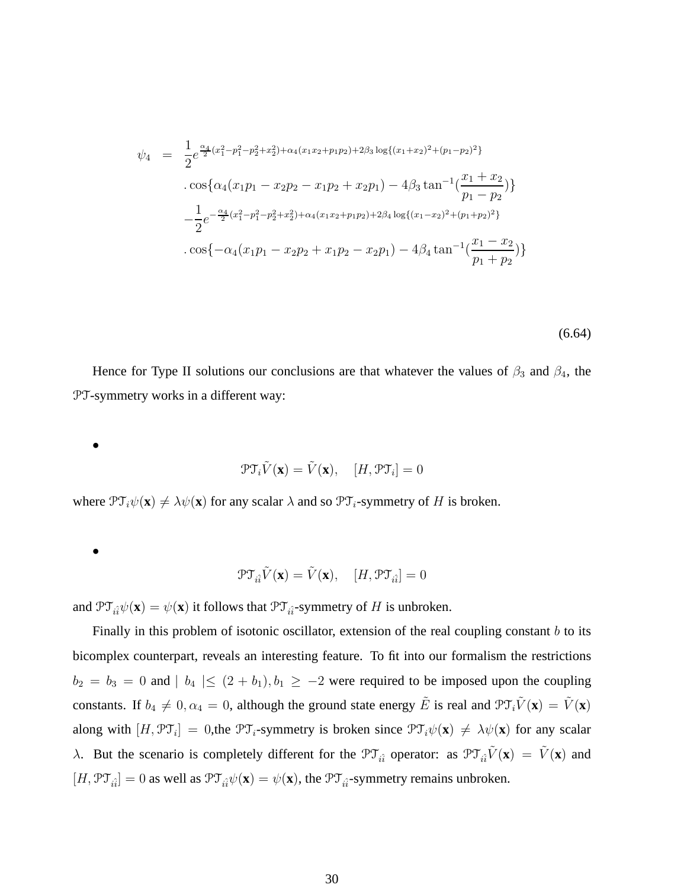$$
\psi_4 = \frac{1}{2} e^{\frac{\alpha_4}{2} (x_1^2 - p_1^2 - p_2^2 + x_2^2) + \alpha_4 (x_1 x_2 + p_1 p_2) + 2\beta_3 \log\{(x_1 + x_2)^2 + (p_1 - p_2)^2\}}
$$
  
. 
$$
\cos\{\alpha_4 (x_1 p_1 - x_2 p_2 - x_1 p_2 + x_2 p_1) - 4\beta_3 \tan^{-1}(\frac{x_1 + x_2}{p_1 - p_2})\}
$$

$$
-\frac{1}{2} e^{-\frac{\alpha_4}{2} (x_1^2 - p_1^2 - p_2^2 + x_2^2) + \alpha_4 (x_1 x_2 + p_1 p_2) + 2\beta_4 \log\{(x_1 - x_2)^2 + (p_1 + p_2)^2\}}
$$

$$
\cdot \cos\{-\alpha_4 (x_1 p_1 - x_2 p_2 + x_1 p_2 - x_2 p_1) - 4\beta_4 \tan^{-1}(\frac{x_1 - x_2}{p_1 + p_2})\}
$$

(6.64)

Hence for Type II solutions our conclusions are that whatever the values of  $\beta_3$  and  $\beta_4$ , the PT-symmetry works in a different way:

$$
\bullet
$$

$$
\mathcal{PT}_{i}\tilde{V}(\mathbf{x}) = \tilde{V}(\mathbf{x}), \quad [H, \mathcal{PT}_{i}] = 0
$$

where  $\mathcal{PT}_{i}\psi(\mathbf{x}) \neq \lambda\psi(\mathbf{x})$  for any scalar  $\lambda$  and so  $\mathcal{PT}_{i}$ -symmetry of H is broken.

$$
\bullet
$$

$$
\mathfrak{PT}_{i\hat{i}}\tilde{V}(\mathbf{x})=\tilde{V}(\mathbf{x}),\quad [H,\mathfrak{PT}_{i\hat{i}}]=0
$$

and  $\mathfrak{PT}_{\hat{i}\hat{i}}\psi(\mathbf{x}) = \psi(\mathbf{x})$  it follows that  $\mathfrak{PT}_{\hat{i}\hat{i}}$ -symmetry of H is unbroken.

Finally in this problem of isotonic oscillator, extension of the real coupling constant  $b$  to its bicomplex counterpart, reveals an interesting feature. To fit into our formalism the restrictions  $b_2 = b_3 = 0$  and  $| b_4 | \le (2 + b_1), b_1 \ge -2$  were required to be imposed upon the coupling constants. If  $b_4 \neq 0, \alpha_4 = 0$ , although the ground state energy  $\tilde{E}$  is real and  $\mathcal{PT}_i \tilde{V}(\mathbf{x}) = \tilde{V}(\mathbf{x})$ along with  $[H, \mathcal{PT}_i] = 0$ , the  $\mathcal{PT}_i$ -symmetry is broken since  $\mathcal{PT}_i\psi(\mathbf{x}) \neq \lambda\psi(\mathbf{x})$  for any scalar λ. But the scenario is completely different for the  $\mathcal{PT}_{i\hat{i}}$  operator: as  $\mathcal{PT}_{i\hat{i}}\tilde{V}(\mathbf{x}) = \tilde{V}(\mathbf{x})$  and  $[H, \mathcal{PT}_{i\hat{i}}] = 0$  as well as  $\mathcal{PT}_{i\hat{i}}\psi(\mathbf{x}) = \psi(\mathbf{x})$ , the  $\mathcal{PT}_{i\hat{i}}$ -symmetry remains unbroken.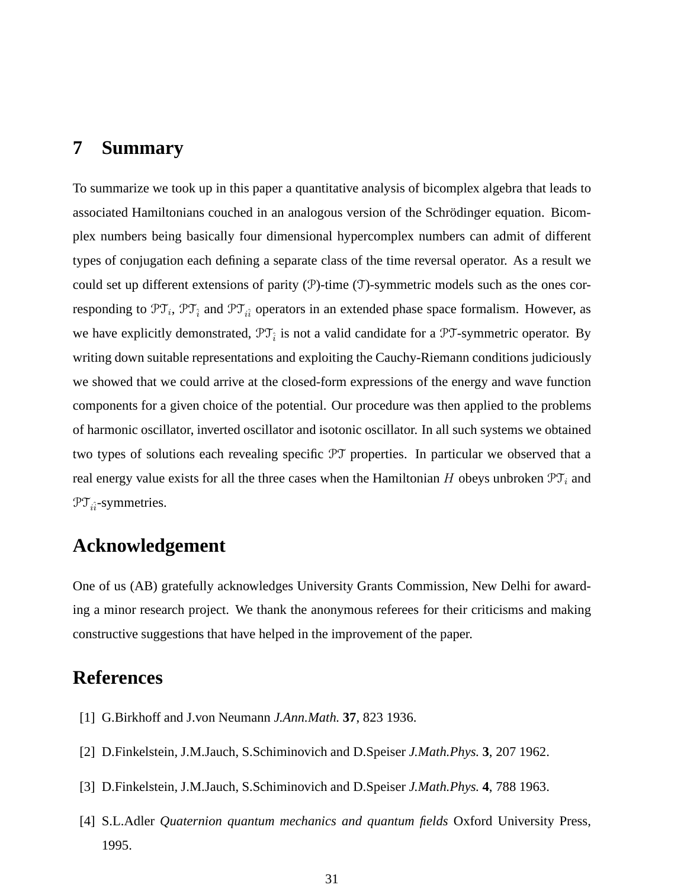## <span id="page-30-4"></span>**7 Summary**

To summarize we took up in this paper a quantitative analysis of bicomplex algebra that leads to associated Hamiltonians couched in an analogous version of the Schrödinger equation. Bicomplex numbers being basically four dimensional hypercomplex numbers can admit of different types of conjugation each defining a separate class of the time reversal operator. As a result we could set up different extensions of parity  $(\mathcal{P})$ -time  $(\mathcal{T})$ -symmetric models such as the ones corresponding to  $\mathfrak{PT}_i$ ,  $\mathfrak{PT}_{\hat{i}}$  and  $\mathfrak{PT}_{i\hat{i}}$  operators in an extended phase space formalism. However, as we have explicitly demonstrated,  $\mathfrak{PT}_{\hat{i}}$  is not a valid candidate for a  $\mathfrak{PT}$ -symmetric operator. By writing down suitable representations and exploiting the Cauchy-Riemann conditions judiciously we showed that we could arrive at the closed-form expressions of the energy and wave function components for a given choice of the potential. Our procedure was then applied to the problems of harmonic oscillator, inverted oscillator and isotonic oscillator. In all such systems we obtained two types of solutions each revealing specific PT properties. In particular we observed that a real energy value exists for all the three cases when the Hamiltonian H obeys unbroken  $\mathfrak{PT}_i$  and  $\mathfrak{PT}_{i\hat{i}}$ -symmetries.

## **Acknowledgement**

One of us (AB) gratefully acknowledges University Grants Commission, New Delhi for awarding a minor research project. We thank the anonymous referees for their criticisms and making constructive suggestions that have helped in the improvement of the paper.

## <span id="page-30-0"></span>**References**

- <span id="page-30-1"></span>[1] G.Birkhoff and J.von Neumann *J.Ann.Math.* **37**, 823 1936.
- <span id="page-30-2"></span>[2] D.Finkelstein, J.M.Jauch, S.Schiminovich and D.Speiser *J.Math.Phys.* **3**, 207 1962.
- <span id="page-30-3"></span>[3] D.Finkelstein, J.M.Jauch, S.Schiminovich and D.Speiser *J.Math.Phys.* **4**, 788 1963.
- [4] S.L.Adler *Quaternion quantum mechanics and quantum fields* Oxford University Press, 1995.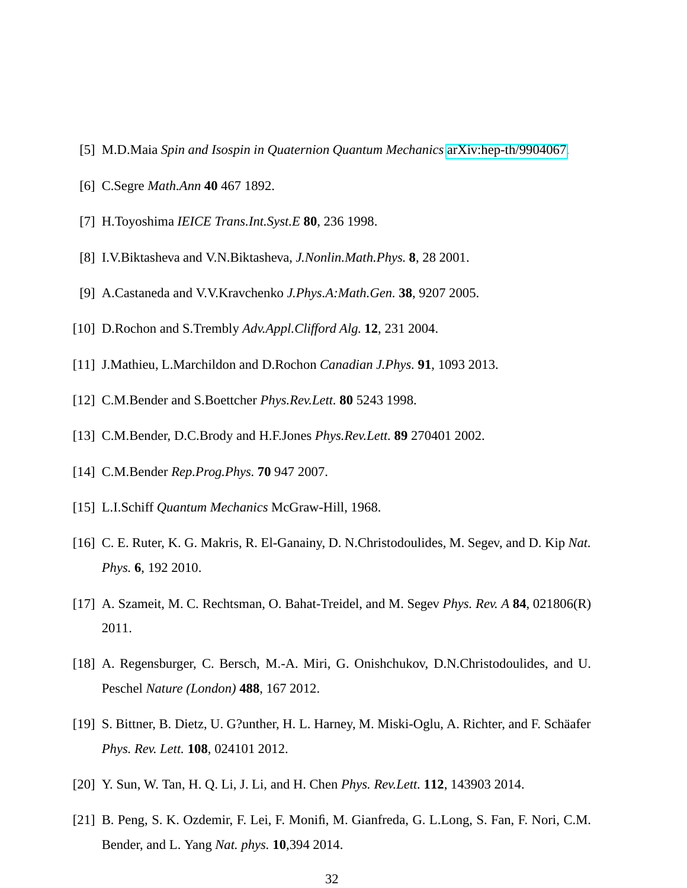- <span id="page-31-1"></span><span id="page-31-0"></span>[5] M.D.Maia *Spin and Isospin in Quaternion Quantum Mechanics* [arXiv:hep-th/9904067.](http://arxiv.org/abs/hep-th/9904067)
- <span id="page-31-2"></span>[6] C.Segre *Math.Ann* **40** 467 1892.
- <span id="page-31-3"></span>[7] H.Toyoshima *IEICE Trans.Int.Syst.E* **80**, 236 1998.
- <span id="page-31-4"></span>[8] I.V.Biktasheva and V.N.Biktasheva, *J.Nonlin.Math.Phys.* **8**, 28 2001.
- <span id="page-31-5"></span>[9] A.Castaneda and V.V.Kravchenko *J.Phys.A:Math.Gen.* **38**, 9207 2005.
- <span id="page-31-6"></span>[10] D.Rochon and S.Trembly *Adv.Appl.Clifford Alg.* **12**, 231 2004.
- <span id="page-31-7"></span>[11] J.Mathieu, L.Marchildon and D.Rochon *Canadian J.Phys.* **91**, 1093 2013.
- <span id="page-31-8"></span>[12] C.M.Bender and S.Boettcher *Phys.Rev.Lett.* **80** 5243 1998.
- <span id="page-31-9"></span>[13] C.M.Bender, D.C.Brody and H.F.Jones *Phys.Rev.Lett.* **89** 270401 2002.
- <span id="page-31-10"></span>[14] C.M.Bender *Rep.Prog.Phys.* **70** 947 2007.
- <span id="page-31-11"></span>[15] L.I.Schiff *Quantum Mechanics McGraw-Hill*, 1968.
- [16] C. E. Ruter, K. G. Makris, R. El-Ganainy, D. N.Christodoulides, M. Segev, and D. Kip *Nat. Phys.* **6**, 192 2010.
- [17] A. Szameit, M. C. Rechtsman, O. Bahat-Treidel, and M. Segev *Phys. Rev. A* **84**, 021806(R) 2011.
- [18] A. Regensburger, C. Bersch, M.-A. Miri, G. Onishchukov, D.N.Christodoulides, and U. Peschel *Nature (London)* **488**, 167 2012.
- [19] S. Bittner, B. Dietz, U. G?unther, H. L. Harney, M. Miski-Oglu, A. Richter, and F. Sch¨aafer *Phys. Rev. Lett.* **108**, 024101 2012.
- [20] Y. Sun, W. Tan, H. Q. Li, J. Li, and H. Chen *Phys. Rev.Lett.* **112**, 143903 2014.
- [21] B. Peng, S. K. Ozdemir, F. Lei, F. Monifi, M. Gianfreda, G. L.Long, S. Fan, F. Nori, C.M. Bender, and L. Yang *Nat. phys.* **10**,394 2014.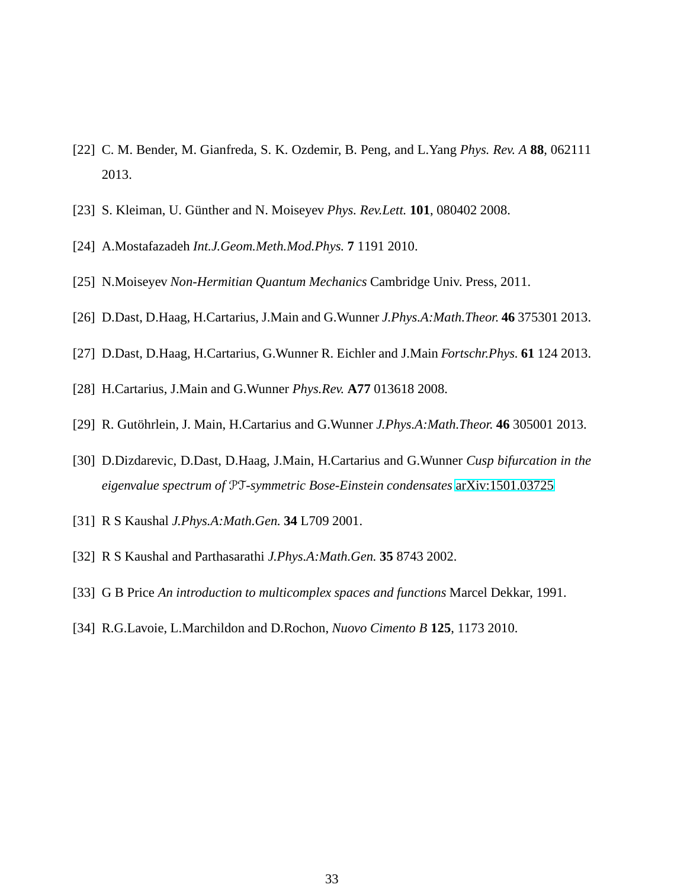- <span id="page-32-1"></span><span id="page-32-0"></span>[22] C. M. Bender, M. Gianfreda, S. K. Ozdemir, B. Peng, and L.Yang *Phys. Rev. A* **88**, 062111 2013.
- <span id="page-32-2"></span>[23] S. Kleiman, U. Günther and N. Moiseyev *Phys. Rev.Lett.* **101**, 080402 2008.
- <span id="page-32-3"></span>[24] A.Mostafazadeh *Int.J.Geom.Meth.Mod.Phys.* **7** 1191 2010.
- <span id="page-32-4"></span>[25] N.Moiseyev *Non-Hermitian Quantum Mechanics* Cambridge Univ. Press, 2011.
- <span id="page-32-5"></span>[26] D.Dast, D.Haag, H.Cartarius, J.Main and G.Wunner *J.Phys.A:Math.Theor.* **46** 375301 2013.
- <span id="page-32-6"></span>[27] D.Dast, D.Haag, H.Cartarius, G.Wunner R. Eichler and J.Main *Fortschr.Phys.* **61** 124 2013.
- <span id="page-32-7"></span>[28] H.Cartarius, J.Main and G.Wunner *Phys.Rev.* **A77** 013618 2008.
- <span id="page-32-8"></span>[29] R. Gutöhrlein, J. Main, H.Cartarius and G.Wunner *J.Phys.A:Math.Theor.* **46** 305001 2013.
- <span id="page-32-9"></span>[30] D.Dizdarevic, D.Dast, D.Haag, J.Main, H.Cartarius and G.Wunner *Cusp bifurcation in the eigenvalue spectrum of* PT*-symmetric Bose-Einstein condensates* [arXiv:1501.03725](http://arxiv.org/abs/1501.03725)
- <span id="page-32-10"></span>[31] R S Kaushal *J.Phys.A:Math.Gen.* **34** L709 2001.
- <span id="page-32-12"></span>[32] R S Kaushal and Parthasarathi *J.Phys.A:Math.Gen.* **35** 8743 2002.
- <span id="page-32-11"></span>[33] G B Price *An introduction to multicomplex spaces and functions* Marcel Dekkar, 1991.
- [34] R.G.Lavoie, L.Marchildon and D.Rochon, *Nuovo Cimento B* **125**, 1173 2010.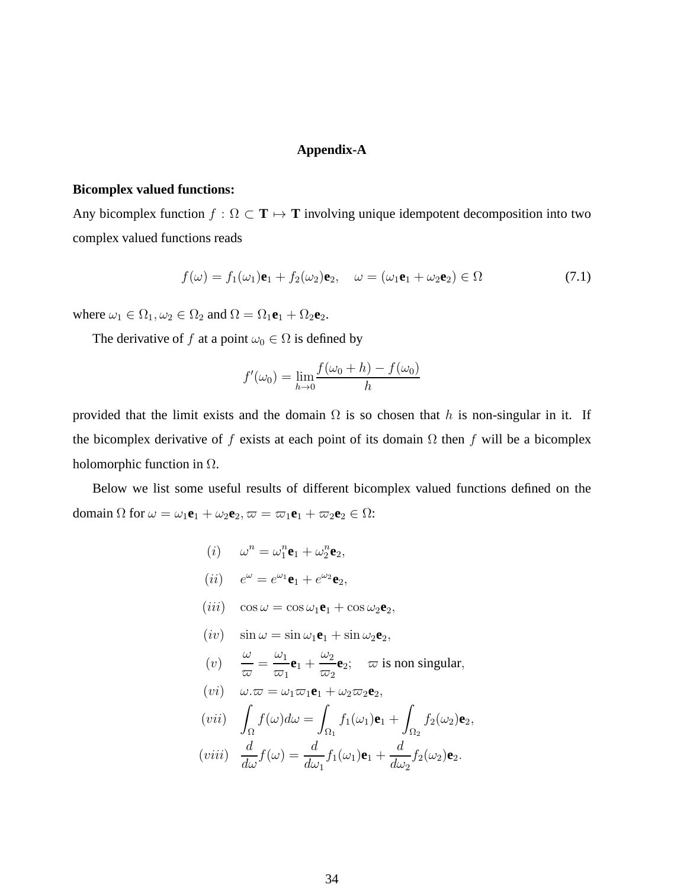#### **Appendix-A**

#### **Bicomplex valued functions:**

Any bicomplex function  $f : \Omega \subset \mathbf{T} \mapsto \mathbf{T}$  involving unique idempotent decomposition into two complex valued functions reads

$$
f(\omega) = f_1(\omega_1)\mathbf{e}_1 + f_2(\omega_2)\mathbf{e}_2, \quad \omega = (\omega_1\mathbf{e}_1 + \omega_2\mathbf{e}_2) \in \Omega \tag{7.1}
$$

where  $\omega_1 \in \Omega_1, \omega_2 \in \Omega_2$  and  $\Omega = \Omega_1 \mathbf{e}_1 + \Omega_2 \mathbf{e}_2$ .

The derivative of f at a point  $\omega_0 \in \Omega$  is defined by

$$
f'(\omega_0) = \lim_{h \to 0} \frac{f(\omega_0 + h) - f(\omega_0)}{h}
$$

provided that the limit exists and the domain  $\Omega$  is so chosen that h is non-singular in it. If the bicomplex derivative of f exists at each point of its domain  $\Omega$  then f will be a bicomplex holomorphic function in  $\Omega$ .

Below we list some useful results of different bicomplex valued functions defined on the domain  $\Omega$  for  $\omega = \omega_1 \mathbf{e}_1 + \omega_2 \mathbf{e}_2$ ,  $\varpi = \varpi_1 \mathbf{e}_1 + \varpi_2 \mathbf{e}_2 \in \Omega$ :

- (*i*)  $\omega^n = \omega_1^n$  $n_1^n**e**_1 + \omega_2^n$  $\frac{n}{2}$ **e**<sub>2</sub>, (*ii*)  $e^{\omega} = e^{\omega_1} \mathbf{e}_1 + e^{\omega_2} \mathbf{e}_2$ ,
- $(iii)$  cos  $\omega = \cos \omega_1 \mathbf{e}_1 + \cos \omega_2 \mathbf{e}_2$ ,
- $(iv)$   $\sin \omega = \sin \omega_1 \mathbf{e}_1 + \sin \omega_2 \mathbf{e}_2,$
- $(v)$ ω  $\frac{\omega}{\varpi} = \frac{\omega_1}{\varpi_1}$  $\overline{\omega}_1$  ${\bf e}_1 +$  $\omega_2$  $\overline{\omega}_2$  $e_2$ ;  $\varpi$  is non singular,
- $(vi)$   $\omega \cdot \varpi = \omega_1 \varpi_1 \mathbf{e}_1 + \omega_2 \varpi_2 \mathbf{e}_2$ ,

$$
(vii) \quad \int_{\Omega} f(\omega) d\omega = \int_{\Omega_1} f_1(\omega_1) \mathbf{e}_1 + \int_{\Omega_2} f_2(\omega_2) \mathbf{e}_2,
$$

$$
(viii) \quad \frac{d}{d\omega}f(\omega) = \frac{d}{d\omega_1}f_1(\omega_1)\mathbf{e}_1 + \frac{d}{d\omega_2}f_2(\omega_2)\mathbf{e}_2.
$$